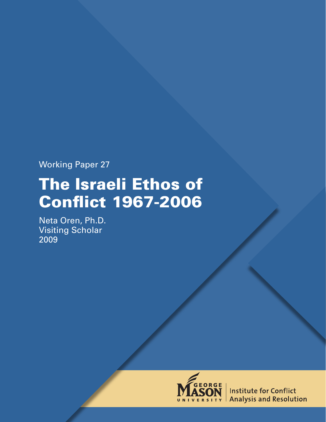Working Paper 27

# The Israeli Ethos of Conflict 1967-2006

Neta Oren, Ph.D. Visiting Scholar 2009



**Institute for Conflict Analysis and Resolution**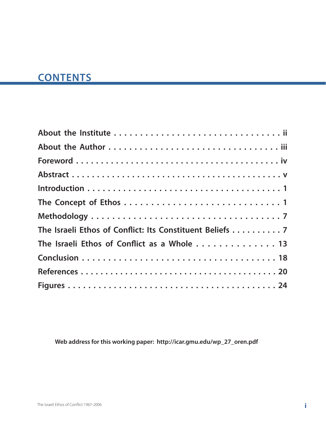# **CONTENTS**

| The Israeli Ethos of Conflict: Its Constituent Beliefs 7 |
|----------------------------------------------------------|
| The Israeli Ethos of Conflict as a Whole  13             |
|                                                          |
|                                                          |
|                                                          |

**Web address for this working paper: http://icar.gmu.edu/wp\_27\_oren.pdf**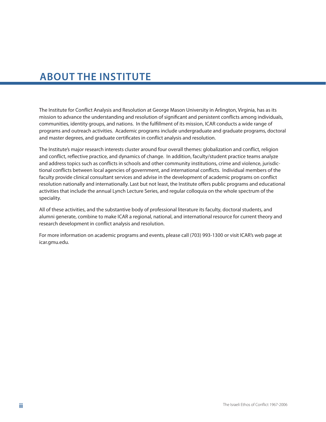# **ABOUT THE INSTITUTE**

The Institute for Conflict Analysis and Resolution at George Mason University in Arlington, Virginia, has as its mission to advance the understanding and resolution of significant and persistent conflicts among individuals, communities, identity groups, and nations. In the fulfillment of its mission, ICAR conducts a wide range of programs and outreach activities. Academic programs include undergraduate and graduate programs, doctoral and master degrees, and graduate certificates in conflict analysis and resolution.

The Institute's major research interests cluster around four overall themes: globalization and conflict, religion and conflict, reflective practice, and dynamics of change. In addition, faculty/student practice teams analyze and address topics such as conflicts in schools and other community institutions, crime and violence, jurisdictional conflicts between local agencies of government, and international conflicts. Individual members of the faculty provide clinical consultant services and advise in the development of academic programs on conflict resolution nationally and internationally. Last but not least, the Institute offers public programs and educational activities that include the annual Lynch Lecture Series, and regular colloquia on the whole spectrum of the speciality.

All of these activities, and the substantive body of professional literature its faculty, doctoral students, and alumni generate, combine to make ICAR a regional, national, and international resource for current theory and research development in conflict analysis and resolution.

For more information on academic programs and events, please call (703) 993-1300 or visit ICAR's web page at icar.gmu.edu.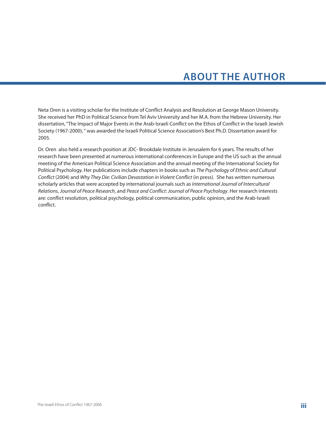# **ABOUT THE AUTHOR**

Neta Oren is a visiting scholar for the Institute of Conflict Analysis and Resolution at George Mason University. She received her PhD in Political Science from Tel Aviv University and her M.A. from the Hebrew University. Her dissertation, "The Impact of Major Events in the Arab-Israeli Conflict on the Ethos of Conflict in the Israeli Jewish Society (1967-2000), " was awarded the Israeli Political Science Association's Best Ph.D. Dissertation award for 2005.

Dr. Oren also held a research position at JDC- Brookdale Institute in Jerusalem for 6 years. The results of her research have been presented at numerous international conferences in Europe and the US such as the annual meeting of the American Political Science Association and the annual meeting of the International Society for Political Psychology. Her publications include chapters in books such as *The Psychology of Ethnic and Cultural Conflict* (2004) and *Why They Die: Civilian Devastation in Violent Conflict* (in press). She has written numerous scholarly articles that were accepted by international journals such as *International Journal of Intercultural Relations*, *Journal of Peace Research*, and *Peace and Conflict: Journal of Peace Psychology*. Her research interests are: conflict resolution, political psychology, political communication, public opinion, and the Arab-Israeli conflict.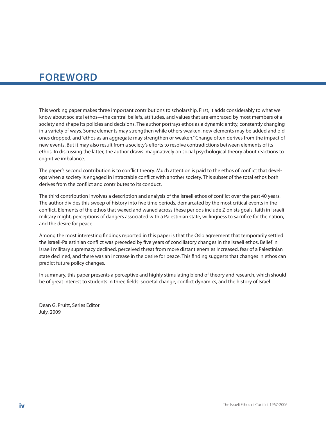# **FOREWORD**

This working paper makes three important contributions to scholarship. First, it adds considerably to what we know about societal ethos—the central beliefs, attitudes, and values that are embraced by most members of a society and shape its policies and decisions. The author portrays ethos as a dynamic entity, constantly changing in a variety of ways. Some elements may strengthen while others weaken, new elements may be added and old ones dropped, and "ethos as an aggregate may strengthen or weaken." Change often derives from the impact of new events. But it may also result from a society's efforts to resolve contradictions between elements of its ethos. In discussing the latter, the author draws imaginatively on social psychological theory about reactions to cognitive imbalance.

The paper's second contribution is to conflict theory. Much attention is paid to the ethos of conflict that develops when a society is engaged in intractable conflict with another society. This subset of the total ethos both derives from the conflict and contributes to its conduct.

The third contribution involves a description and analysis of the Israeli ethos of conflict over the past 40 years. The author divides this sweep of history into five time periods, demarcated by the most critical events in the conflict. Elements of the ethos that waxed and waned across these periods include Zionists goals, faith in Israeli military might, perceptions of dangers associated with a Palestinian state, willingness to sacrifice for the nation, and the desire for peace.

Among the most interesting findings reported in this paper is that the Oslo agreement that temporarily settled the Israeli-Palestinian conflict was preceded by five years of conciliatory changes in the Israeli ethos. Belief in Israeli military supremacy declined, perceived threat from more distant enemies increased, fear of a Palestinian state declined, and there was an increase in the desire for peace. This finding suggests that changes in ethos can predict future policy changes.

In summary, this paper presents a perceptive and highly stimulating blend of theory and research, which should be of great interest to students in three fields: societal change, conflict dynamics, and the history of Israel.

Dean G. Pruitt, Series Editor July, 2009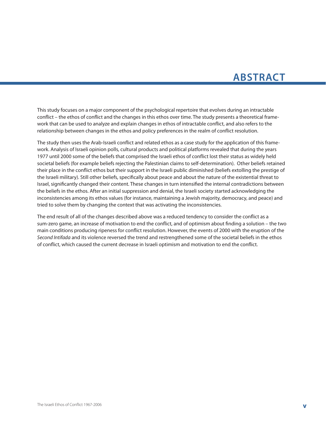# **ABSTRACT**

This study focuses on a major component of the psychological repertoire that evolves during an intractable conflict – the ethos of conflict and the changes in this ethos over time. The study presents a theoretical framework that can be used to analyze and explain changes in ethos of intractable conflict, and also refers to the relationship between changes in the ethos and policy preferences in the realm of conflict resolution.

The study then uses the Arab-Israeli conflict and related ethos as a case study for the application of this framework. Analysis of Israeli opinion polls, cultural products and political platforms revealed that during the years 1977 until 2000 some of the beliefs that comprised the Israeli ethos of conflict lost their status as widely held societal beliefs (for example beliefs rejecting the Palestinian claims to self-determination). Other beliefs retained their place in the conflict ethos but their support in the Israeli public diminished (beliefs extolling the prestige of the Israeli military). Still other beliefs, specifically about peace and about the nature of the existential threat to Israel, significantly changed their content. These changes in turn intensified the internal contradictions between the beliefs in the ethos. After an initial suppression and denial, the Israeli society started acknowledging the inconsistencies among its ethos values (for instance, maintaining a Jewish majority, democracy, and peace) and tried to solve them by changing the context that was activating the inconsistencies.

The end result of all of the changes described above was a reduced tendency to consider the conflict as a sum-zero game, an increase of motivation to end the conflict, and of optimism about finding a solution – the two main conditions producing ripeness for conflict resolution. However, the events of 2000 with the eruption of the *Second Intifada* and its violence reversed the trend and restrengthened some of the societal beliefs in the ethos of conflict, which caused the current decrease in Israeli optimism and motivation to end the conflict.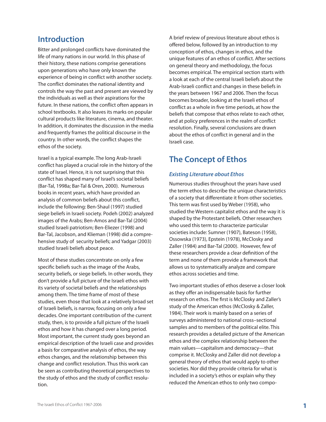### **Introduction**

Bitter and prolonged conflicts have dominated the life of many nations in our world. In this phase of their history, these nations comprise generations upon generations who have only known the experience of being in conflict with another society. The conflict dominates the national identity and controls the way the past and present are viewed by the individuals as well as their aspirations for the future. In these nations, the conflict often appears in school textbooks. It also leaves its marks on popular cultural products like literature, cinema, and theater. In addition, it dominates the discussion in the media and frequently frames the political discourse in the country. In other words, the conflict shapes the ethos of the society.

Israel is a typical example. The long Arab-Israeli conflict has played a crucial role in the history of the state of Israel. Hence, it is not surprising that this conflict has shaped many of Israel's societal beliefs (Bar-Tal, 1998a; Bar-Tal & Oren, 2000). Numerous books in recent years, which have provided an analysis of common beliefs about this conflict, include the following: Ben-Shaul (1997) studied siege beliefs in Israeli society. Podeh (2002) analyzed images of the Arabs; Ben-Amos and Bar-Tal (2004) studied Israeli patriotism; Ben-Eliezer (1998) and Bar-Tal, Jacobson, and Klieman (1998) did a comprehensive study of security beliefs; and Yadgar (2003) studied Israeli beliefs about peace.

Most of these studies concentrate on only a few specific beliefs such as the image of the Arabs, security beliefs, or siege beliefs. In other words, they don't provide a full picture of the Israeli ethos with its variety of societal beliefs and the relationships among them. The time frame of most of these studies, even those that look at a relatively broad set of Israeli beliefs, is narrow, focusing on only a few decades. One important contribution of the current study, then, is to provide a full picture of the Israeli ethos and how it has changed over a long period. Most important, the current study goes beyond an empirical description of the Israeli case and provides a basis for comparative analysis of ethos, the way ethos changes, and the relationship between this change and conflict resolution. Thus this work can be seen as contributing theoretical perspectives to the study of ethos and the study of conflict resolution.

A brief review of previous literature about ethos is offered below, followed by an introduction to my conception of ethos, changes in ethos, and the unique features of an ethos of conflict. After sections on general theory and methodology, the focus becomes empirical. The empirical section starts with a look at each of the central Israeli beliefs about the Arab-Israeli conflict and changes in these beliefs in the years between 1967 and 2006. Then the focus becomes broader, looking at the Israeli ethos of conflict as a whole in five time periods, at how the beliefs that compose that ethos relate to each other, and at policy preferences in the realm of conflict resolution. Finally, several conclusions are drawn about the ethos of conflict in general and in the Israeli case.

### **The Concept of Ethos**

#### *Existing Literature about Ethos*

Numerous studies throughout the years have used the term ethos to describe the unique characteristics of a society that differentiate it from other societies. This term was first used by Weber (1958), who studied the Western capitalist ethos and the way it is shaped by the Protestant beliefs. Other researchers who used this term to characterize particular societies include: Sumner (1907), Bateson (1958), Ossowska (1973), Epstein (1978), McClosky and Zaller (1984) and Bar-Tal (2000). However, few of these researchers provide a clear definition of the term and none of them provide a framework that allows us to systematically analyze and compare ethos across societies and time.

Two important studies of ethos deserve a closer look as they offer an indispensable basis for further research on ethos. The first is McClosky and Zaller's study of the American ethos (McClosky & Zaller, 1984). Their work is mainly based on a series of surveys administered to national cross–sectional samples and to members of the political elite. This research provides a detailed picture of the American ethos and the complex relationship between the main values—capitalism and democracy—that comprise it. McClosky and Zaller did not develop a general theory of ethos that would apply to other societies. Nor did they provide criteria for what is included in a society's ethos or explain why they reduced the American ethos to only two compo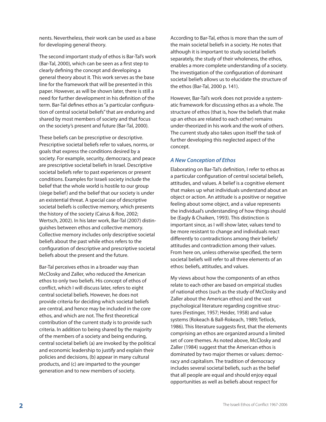nents. Nevertheless, their work can be used as a base for developing general theory.

The second important study of ethos is Bar-Tal's work (Bar-Tal, 2000), which can be seen as a first step to clearly defining the concept and developing a general theory about it. This work serves as the base line for the framework that will be presented in this paper. However, as will be shown later, there is still a need for further development in his definition of the term. Bar-Tal defines ethos as "a particular configuration of central societal beliefs" that are enduring and shared by most members of society and that focus on the society's present and future (Bar-Tal, 2000).

These beliefs can be prescriptive or descriptive. Prescriptive societal beliefs refer to values, norms, or goals that express the conditions desired by a society. For example, security, democracy, and peace are prescriptive societal beliefs in Israel. Descriptive societal beliefs refer to past experiences or present conditions. Examples for Israeli society include the belief that the whole world is hostile to our group (siege belief) and the belief that our society is under an existential threat. A special case of descriptive societal beliefs is collective memory, which presents the history of the society (Cairus & Roe, 2002; Wertsch, 2002). In his later work, Bar-Tal (2007) distinguishes between ethos and collective memory. Collective memory includes only descriptive societal beliefs about the past while ethos refers to the configuration of descriptive and prescriptive societal beliefs about the present and the future.

Bar-Tal perceives ethos in a broader way than McClosky and Zaller, who reduced the American ethos to only two beliefs. His concept of ethos of conflict, which I will discuss later, refers to eight central societal beliefs. However, he does not provide criteria for deciding which societal beliefs are central, and hence may be included in the core ethos, and which are not. The first theoretical contribution of the current study is to provide such criteria. In addition to being shared by the majority of the members of a society and being enduring, central societal beliefs (a) are invoked by the political and economic leadership to justify and explain their policies and decisions, (b) appear in many cultural products, and (c) are imparted to the younger generation and to new members of society.

According to Bar-Tal, ethos is more than the sum of the main societal beliefs in a society. He notes that although it is important to study societal beliefs separately, the study of their wholeness, the ethos, enables a more complete understanding of a society. The investigation of the configuration of dominant societal beliefs allows us to elucidate the structure of the ethos (Bar-Tal, 2000 p. 141).

However, Bar-Tal's work does not provide a systematic framework for discussing ethos as a whole. The structure of ethos (that is, how the beliefs that make up an ethos are related to each other) remains under-theorized in his work and the work of others. The current study also takes upon itself the task of further developing this neglected aspect of the concept.

#### *A New Conception of Ethos*

Elaborating on Bar-Tal's definition, I refer to ethos as a particular configuration of central societal beliefs, attitudes, and values. A belief is a cognitive element that makes up what individuals understand about an object or action. An attitude is a positive or negative feeling about some object, and a value represents the individual's understanding of how things should be (Eagly & Chaiken, 1993). This distinction is important since, as I will show later, values tend to be more resistant to change and individuals react differently to contradictions among their beliefs/ attitudes and contradiction among their values. From here on, unless otherwise specified, the term societal beliefs will refer to all three elements of an ethos: beliefs, attitudes, and values.

My views about how the components of an ethos relate to each other are based on empirical studies of national ethos (such as the study of McClosky and Zaller about the American ethos) and the vast psychological literature regarding cognitive structures (Festinger, 1957; Heider, 1958) and value systems (Rokeach & Ball-Rokeach, 1989; Tetlock, 1986). This literature suggests first, that the elements comprising an ethos are organized around a limited set of core themes. As noted above, McClosky and Zaller (1984) suggest that the American ethos is dominated by two major themes or values: democracy and capitalism. The tradition of democracy includes several societal beliefs, such as the belief that all people are equal and should enjoy equal opportunities as well as beliefs about respect for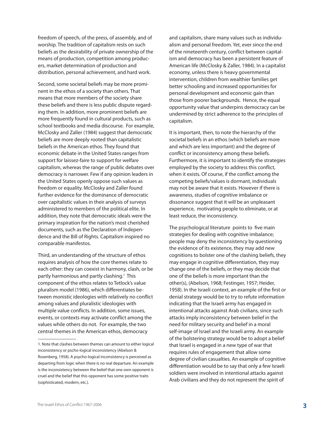freedom of speech, of the press, of assembly, and of worship. The tradition of capitalism rests on such beliefs as the desirability of private ownership of the means of production, competition among producers, market determination of production and distribution, personal achievement, and hard work.

Second, some societal beliefs may be more prominent in the ethos of a society than others. That means that more members of the society share these beliefs and there is less public dispute regarding them. In addition, more prominent beliefs are more frequently found in cultural products, such as school textbooks and media discourse. For example, McClosky and Zaller (1984) suggest that democratic beliefs are more deeply rooted than capitalistic beliefs in the American ethos. They found that economic debate in the United States ranges from support for laissez-faire to support for welfare capitalism, whereas the range of public debates over democracy is narrower. Few if any opinion leaders in the United States openly oppose such values as freedom or equality. McClosky and Zaller found further evidence for the dominance of democratic over capitalistic values in their analysis of surveys administered to members of the political elite. In addition, they note that democratic ideals were the primary inspiration for the nation's most cherished documents, such as the Declaration of Independence and the Bill of Rights. Capitalism inspired no comparable manifestos.

Third, an understanding of the structure of ethos requires analysis of how the core themes relate to each other: they can coexist in harmony, clash, or be partly harmonious and partly clashing.<sup>1</sup> This component of the ethos relates to Tetlock's value pluralism model (1986), which differentiates between monistic ideologies with relatively no conflict among values and pluralistic ideologies with multiple value conflicts. In addition, some issues, events, or contexts may activate conflict among the values while others do not. For example, the two central themes in the American ethos, democracy

and capitalism, share many values such as individualism and personal freedom. Yet, ever since the end of the nineteenth century, conflict between capitalism and democracy has been a persistent feature of American life (McClosky & Zaller, 1984). In a capitalist economy, unless there is heavy governmental intervention, children from wealthier families get better schooling and increased opportunities for personal development and economic gain than those from poorer backgrounds. Hence, the equal opportunity value that underpins democracy can be undermined by strict adherence to the principles of capitalism.

It is important, then, to note the hierarchy of the societal beliefs in an ethos (which beliefs are more and which are less important) and the degree of conflict or inconsistency among these beliefs. Furthermore, it is important to identify the strategies employed by the society to address this conflict, when it exists. Of course, if the conflict among the competing beliefs/values is dormant, individuals may not be aware that it exists. However if there is awareness, studies of cognitive imbalance or dissonance suggest that it will be an unpleasant experience, motivating people to eliminate, or at least reduce, the inconsistency.

The psychological literature points to five main strategies for dealing with cognitive imbalance; people may deny the inconsistency by questioning the evidence of its existence, they may add new cognitions to bolster one of the clashing beliefs, they may engage in cognitive differentiation, they may change one of the beliefs, or they may decide that one of the beliefs is more important than the other(s), (Abelson, 1968; Festinger, 1957; Heider, 1958). In the Israeli context, an example of the first or denial strategy would be to try to refute information indicating that the Israeli army has engaged in intentional attacks against Arab civilians, since such attacks imply inconsistency between belief in the need for military security and belief in a moral self-image of Israel and the Israeli army. An example of the bolstering strategy would be to adopt a belief that Israel is engaged in a new type of war that requires rules of engagement that allow some degree of civilian casualties. An example of cognitive differentiation would be to say that only a few Israeli soldiers were involved in intentional attacks against Arab civilians and they do not represent the spirit of

<sup>1.</sup> Note that clashes between themes can amount to either logical inconsistency or pscho-logical inconsistency (Abelson & Rosenberg, 1958). A psycho-logical inconsistency is perceived as departing from logic when there is no real departure. An example is the inconsistency between the belief that one own opponent is cruel and the belief that this opponent has some positive traits (sophisticated, modern, etc.).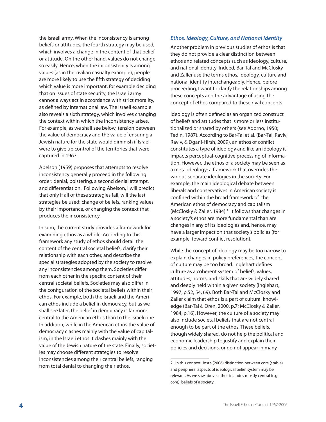the Israeli army. When the inconsistency is among beliefs or attitudes, the fourth strategy may be used, which involves a change in the content of that belief or attitude. On the other hand, values do not change so easily. Hence, when the inconsistency is among values (as in the civilian casualty example), people are more likely to use the fifth strategy of deciding which value is more important, for example deciding that on issues of state security, the Israeli army cannot always act in accordance with strict morality, as defined by international law. The Israeli example also reveals a sixth strategy, which involves changing the context within which the inconsistency arises. For example, as we shall see below, tension between the value of democracy and the value of ensuring a Jewish nature for the state would diminish if Israel were to give up control of the territories that were captured in 1967.

Abelson (1959) proposes that attempts to resolve inconsistency generally proceed in the following order: denial, bolstering, a second denial attempt, and differentiation. Following Abelson, I will predict that only if all of these strategies fail, will the last strategies be used: change of beliefs, ranking values by their importance, or changing the context that produces the inconsistency.

In sum, the current study provides a framework for examining ethos as a whole. According to this framework any study of ethos should detail the content of the central societal beliefs, clarify their relationship with each other, and describe the special strategies adopted by the society to resolve any inconsistencies among them. Societies differ from each other in the specific content of their central societal beliefs. Societies may also differ in the configuration of the societal beliefs within their ethos. For example, both the Israeli and the American ethos include a belief in democracy, but as we shall see later, the belief in democracy is far more central to the American ethos than to the Israeli one. In addition, while in the American ethos the value of democracy clashes mainly with the value of capitalism, in the Israeli ethos it clashes mainly with the value of the Jewish nature of the state. Finally, societies may choose different strategies to resolve inconsistencies among their central beliefs, ranging from total denial to changing their ethos.

#### *Ethos, Ideology, Culture, and National Identity*

Another problem in previous studies of ethos is that they do not provide a clear distinction between ethos and related concepts such as ideology, culture, and national identity. Indeed, Bar-Tal and McClosky and Zaller use the terms ethos, ideology, culture and national identity interchangeably. Hence, before proceeding, I want to clarify the relationships among these concepts and the advantage of using the concept of ethos compared to these rival concepts.

Ideology is often defined as an organized construct of beliefs and attitudes that is more or less institutionalized or shared by others (see Adorno, 1950; Tedin, 1987). According to Bar-Tal et al. (Bar-Tal, Raviv, Raviv, & Dgani-Hirsh, 2009), an ethos of conflict constitutes a type of ideology and like an ideology it impacts perceptual-cognitive processing of information. However, the ethos of a society may be seen as a meta-ideology: a framework that overrides the various separate ideologies in the society. For example, the main ideological debate between liberals and conservatives in American society is confined within the broad framework of the American ethos of democracy and capitalism (McClosky & Zaller, 1984).<sup>2</sup> It follows that changes in a society's ethos are more fundamental than are changes in any of its ideologies and, hence, may have a larger impact on that society's policies (for example, toward conflict resolution).

While the concept of ideology may be too narrow to explain changes in policy preferences, the concept of culture may be too broad. Inglehart defines culture as a coherent system of beliefs, values, attitudes, norms, and skills that are widely shared and deeply held within a given society (Inglehart, 1997, p.52, 54, 69). Both Bar-Tal and McClosky and Zaller claim that ethos is a part of cultural knowledge (Bar-Tal & Oren, 2000, p.7; McClosky & Zaller, 1984, p.16). However, the culture of a society may also include societal beliefs that are not central enough to be part of the ethos. These beliefs, though widely shared, do not help the political and economic leadership to justify and explain their policies and decisions, or do not appear in many

<sup>2.</sup> In this context, Jost's (2006) distinction between core (stable) and peripheral aspects of ideological belief system may be relevant. As we saw above, ethos includes mostly central (e.g. core) beliefs of a society.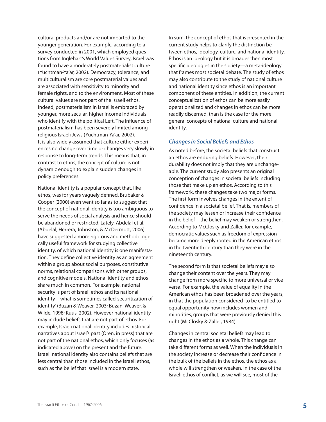cultural products and/or are not imparted to the younger generation. For example, according to a survey conducted in 2001, which employed questions from Inglehart's World Values Survey, Israel was found to have a moderately postmaterialist culture (Yuchtman-Ya'ar, 2002). Democracy, tolerance, and multiculturalism are core postmaterial values and are associated with sensitivity to minority and female rights, and to the environment. Most of these cultural values are not part of the Israeli ethos. Indeed, postmaterialism in Israel is embraced by younger, more secular, higher income individuals who identify with the political Left. The influence of postmaterialism has been severely limited among religious Israeli Jews (Yuchtman-Ya'ar, 2002). It is also widely assumed that culture either experiences no change over time or changes very slowly in response to long-term trends. This means that, in contrast to ethos, the concept of culture is not dynamic enough to explain sudden changes in policy preferences.

National identity is a popular concept that, like ethos, was for years vaguely defined. Brubaker & Cooper (2000) even went so far as to suggest that the concept of national identity is too ambiguous to serve the needs of social analysis and hence should be abandoned or restricted. Lately, Abdelal et al. (Abdelal, Herrera, Johnston, & McDermott, 2006) have suggested a more rigorous and methodologically useful framework for studying collective identity, of which national identity is one manifestation. They define collective identity as an agreement within a group about social purposes, constitutive norms, relational comparisons with other groups, and cognitive models. National identity and ethos share much in common. For example, national security is part of Israeli ethos and its national identity—what is sometimes called 'securitization of identity' (Buzan & Weaver, 2003; Buzan, Weaver, & Wilde, 1998; Kuus, 2002). However national identity may include beliefs that are not part of ethos. For example, Israeli national identity includes historical narratives about Israel's past (Oren, in press) that are not part of the national ethos, which only focuses (as indicated above) on the present and the future. Israeli national identity also contains beliefs that are less central than those included in the Israeli ethos, such as the belief that Israel is a modern state.

In sum, the concept of ethos that is presented in the current study helps to clarify the distinction between ethos, ideology, culture, and national identity. Ethos is an ideology but it is broader then most specific ideologies in the society—a meta-ideology that frames most societal debate. The study of ethos may also contribute to the study of national culture and national identity since ethos is an important component of these entities. In addition, the current conceptualization of ethos can be more easily operationalized and changes in ethos can be more readily discerned, than is the case for the more general concepts of national culture and national identity.

#### *Changes in Social Beliefs and Ethos*

As noted before, the societal beliefs that construct an ethos are enduring beliefs. However, their durability does not imply that they are unchangeable. The current study also presents an original conception of changes in societal beliefs including those that make up an ethos. According to this framework, these changes take two major forms. The first form involves changes in the extent of confidence in a societal belief. That is, members of the society may lessen or increase their confidence in the belief—the belief may weaken or strengthen. According to McClosky and Zaller, for example, democratic values such as freedom of expression became more deeply rooted in the American ethos in the twentieth century than they were in the nineteenth century.

The second form is that societal beliefs may also change their content over the years. They may change from more specific to more universal or vice versa. For example, the value of equality in the American ethos has been broadened over the years, in that the population considered to be entitled to equal opportunity now includes women and minorities, groups that were previously denied this right (McClosky & Zaller, 1984).

Changes in central societal beliefs may lead to changes in the ethos as a whole. This change can take different forms as well. When the individuals in the society increase or decrease their confidence in the bulk of the beliefs in the ethos, the ethos as a whole will strengthen or weaken. In the case of the Israeli ethos of conflict, as we will see, most of the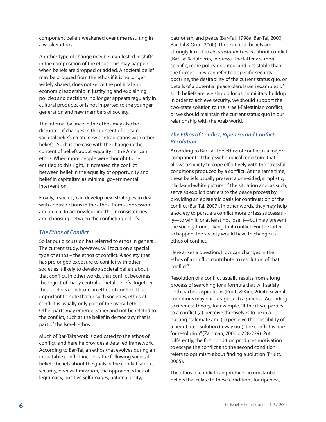component beliefs weakened over time resulting in a weaker ethos.

Another type of change may be manifested in shifts in the composition of the ethos. This may happen when beliefs are dropped or added. A societal belief may be dropped from the ethos if it is no longer widely shared, does not serve the political and economic leadership in justifying and explaining policies and decisions, no longer appears regularly in cultural products, or is not imparted to the younger generation and new members of society.

The internal balance in the ethos may also be disrupted if changes in the content of certain societal beliefs create new contradictions with other beliefs. Such is the case with the change in the content of beliefs about equality in the American ethos. When more people were thought to be entitled to this right, it increased the conflict between belief in the equality of opportunity and belief in capitalism as minimal governmental intervention.

Finally, a society can develop new strategies to deal with contradictions in the ethos, from suppression and denial to acknowledging the inconsistencies and choosing between the conflicting beliefs.

#### *The Ethos of Conflict*

So far our discussion has referred to ethos in general. The current study, however, will focus on a special type of ethos – the ethos of conflict. A society that has prolonged exposure to conflict with other societies is likely to develop societal beliefs about that conflict. In other words, that conflict becomes the object of many central societal beliefs. Together, these beliefs constitute an ethos of conflict. It is important to note that in such societies, ethos of conflict is usually only part of the overall ethos. Other parts may emerge earlier and not be related to the conflict, such as the belief in democracy that is part of the Israeli ethos.

Much of Bar-Tal's work is dedicated to the ethos of conflict, and here he provides a detailed framework. According to Bar-Tal, an ethos that evolves during an intractable conflict includes the following societal beliefs: beliefs about the goals in the conflict, about security, own victimization, the opponent's lack of legitimacy, positive self-images, national unity,

patriotism, and peace (Bar-Tal, 1998a; Bar-Tal, 2000; Bar-Tal & Oren, 2000). These central beliefs are strongly linked to *circumstantial beliefs* about conflict (Bar-Tal & Halperin, in press). The latter are more specific, more policy oriented, and less stable than the former. They can refer to a specific security doctrine, the desirability of the current status quo, or details of a potential peace plan. Israeli examples of such beliefs are: we should focus on military buildup in order to achieve security, we should support the two-state solution to the Israeli-Palestinian conflict, or we should maintain the current status quo in our relationship with the Arab world.

#### *The Ethos of Conflict, Ripeness and Conflict Resolution*

According to Bar-Tal, the ethos of conflict is a major component of the psychological repertoire that allows a society to cope effectively with the stressful conditions produced by a conflict. At the same time, these beliefs usually present a one-sided, simplistic, black-and-white picture of the situation and, as such, serve as explicit barriers to the peace process by providing an epistemic basis for continuation of the conflict (Bar-Tal, 2007). In other words, they may help a society to pursue a conflict more or less successfully—to win it, or at least not lose it—but may prevent the society from solving that conflict. For the latter to happen, the society would have to change its ethos of conflict.

Here arises a question: How can changes in the ethos of a conflict contribute to resolution of that conflict?

Resolution of a conflict usually results from a long process of searching for a formula that will satisfy both parties' aspirations (Pruitt & Kim, 2004). Several conditions may encourage such a process. According to ripeness theory, for example, "If the (two) parties to a conflict (a) perceive themselves to be in a hurting stalemate and (b) perceive the possibility of a negotiated solution (a way out), the conflict is ripe for resolution" (Zartman, 2000 p.228-229). Put differently, the first condition produces motivation to escape the conflict and the second condition refers to optimism about finding a solution (Pruitt, 2005).

The ethos of conflict can produce circumstantial beliefs that relate to these conditions for ripeness,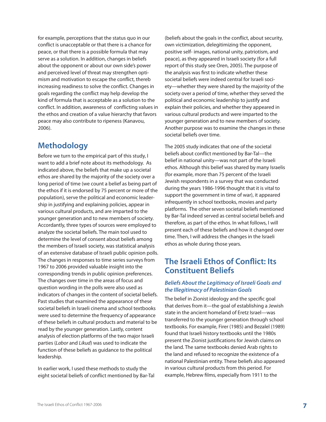for example, perceptions that the status quo in our conflict is unacceptable or that there is a chance for peace, or that there is a possible formula that may serve as a solution. In addition, changes in beliefs about the opponent or about our own side's power and perceived level of threat may strengthen optimism and motivation to escape the conflict, thereb increasing readiness to solve the conflict. Changes in goals regarding the conflict may help develop the kind of formula that is acceptable as a solution to the conflict. In addition, awareness of conflicting values in the ethos and creation of a value hierarchy that favors peace may also contribute to ripeness (Kanavou, 2006).

# **Methodology**

Before we turn to the empirical part of this study, I want to add a brief note about its methodology. As indicated above, the beliefs that make up a societal ethos are shared by the majority of the society over a long period of time (we count a belief as being part of the ethos if it is endorsed by 75 percent or more of the population), serve the political and economic leadership in justifying and explaining policies, appear in various cultural products, and are imparted to the younger generation and to new members of society. Accordantly, three types of sources were employed to analyze the societal beliefs. The main tool used to determine the level of consent about beliefs among the members of Israeli society, was statistical analysis of an extensive database of Israeli public opinion polls. The changes in responses to time series surveys from 1967 to 2006 provided valuable insight into the corresponding trends in public opinion preferences. The changes over time in the areas of focus and question wording in the polls were also used as indicators of changes in the content of societal beliefs. Past studies that examined the appearance of these societal beliefs in Israeli cinema and school textbooks were used to determine the frequency of appearance of these beliefs in cultural products and material to be read by the younger generation. Lastly, content analysis of election platforms of the two major Israeli parties (*Labor* and *Likud*) was used to indicate the function of these beliefs as guidance to the political leadership.

In earlier work, I used these methods to study the eight societal beliefs of conflict mentioned by Bar-Tal (beliefs about the goals in the conflict, about security, own victimization, delegitimizing the opponent, positive self- images, national unity, patriotism, and peace), as they appeared in Israeli society (for a full report of this study see Oren, 2005). The purpose of the analysis was first to indicate whether these societal beliefs were indeed central for Israeli society—whether they were shared by the majority of the society over a period of time, whether they served the political and economic leadership to justify and explain their policies, and whether they appeared in various cultural products and were imparted to the younger generation and to new members of society. Another purpose was to examine the changes in these societal beliefs over time.

The 2005 study indicates that one of the societal beliefs about conflict mentioned by Bar-Tal—the belief in national unity—was not part of the Israeli ethos. Although this belief was shared by many Israelis (for example, more than 75 percent of the Israeli Jewish respondents in a survey that was conducted during the years 1986-1996 thought that it is vital to support the government in time of war), it appeared infrequently in school textbooks, movies and party platforms. The other seven societal beliefs mentioned by Bar-Tal indeed served as central societal beliefs and therefore, as part of the ethos. In what follows, I will present each of these beliefs and how it changed over time. Then, I will address the changes in the Israeli ethos as whole during those years.

## **The Israeli Ethos of Conflict: Its Constituent Beliefs**

#### *Beliefs About the Legitimacy of Israeli Goals and the Illegitimacy of Palestinian Goals*

The belief in Zionist ideology and the specific goal that derives from it—the goal of establishing a Jewish state in the ancient homeland of Eretz Israel—was transferred to the younger generation through school textbooks. For example, Firer (1985) and Bezalel (1989) found that Israeli history textbooks until the 1980s present the Zionist justifications for Jewish claims on the land. The same textbooks denied Arab rights to the land and refused to recognize the existence of a national Palestinian entity. These beliefs also appeared in various cultural products from this period. For example, Hebrew films, especially from 1911 to the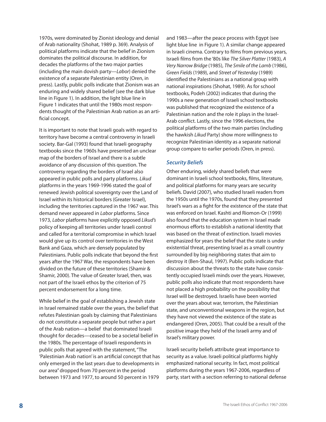1970s, were dominated by Zionist ideology and denial of Arab nationality (Shohat, 1989 p. 369). Analysis of political platforms indicate that the belief in Zionism dominates the political discourse. In addition, for decades the platforms of the two major parties (including the main dovish party—*Labor*) denied the existence of a separate Palestinian entity (Oren, in press). Lastly, public polls indicate that Zionism was an enduring and widely shared belief (see the dark blue line in Figure 1). In addition, the light blue line in Figure 1 indicates that until the 1980s most respondents thought of the Palestinian Arab nation as an artificial concept.

It is important to note that Israeli goals with regard to territory have become a central controversy in Israeli society. Bar-Gal (1993) found that Israeli geography textbooks since the 1960s have presented an unclear map of the borders of Israel and there is a subtle avoidance of any discussion of this question. The controversy regarding the borders of Israel also appeared in public polls and party platforms. *Likud* platforms in the years 1969-1996 stated the goal of renewed Jewish political sovereignty over the Land of Israel within its historical borders (Greater Israel), including the territories captured in the 1967 war. This demand never appeared in *Labor* platforms. Since 1973, *Labor* platforms have explicitly opposed *Likud's* policy of keeping all territories under Israeli control and called for a territorial compromise in which Israel would give up its control over territories in the West Bank and Gaza, which are densely populated by Palestinians. Public polls indicate that beyond the first years after the 1967 War, the respondents have been divided on the future of these territories (Shamir & Shamir, 2000). The value of Greater Israel, then, was not part of the Israeli ethos by the criterion of 75 percent endorsement for a long time.

While belief in the goal of establishing a Jewish state in Israel remained stable over the years, the belief that refutes Palestinian goals by claiming that Palestinians do not constitute a separate people but rather a part of the Arab nation—a belief that dominated Israeli thought for decades—ceased to be a societal belief in the 1980s. The percentage of Israeli respondents in public polls that agreed with the statement, "The 'Palestinian Arab nation' is an artificial concept that has only emerged in the last years due to developments in our area" dropped from 70 percent in the period between 1973 and 1977, to around 50 percent in 1979

and 1983—after the peace process with Egypt (see light blue line in Figure 1). A similar change appeared in Israeli cinema. Contrary to films from previous years, Israeli films from the '80s like *The Silver Platter* (1983), *A Very Narrow Bridge* (1985), *The Smile of the Lamb* (1986), *Green Fields*(1989), and *Street of Yesterday* (1989) identified the Palestinians as a national group with national inspirations (Shohat, 1989). As for school textbooks, Podeh (2002) indicates that during the 1990s a new generation of Israeli school textbooks was published that recognized the existence of a Palestinian nation and the role it plays in the Israel-Arab conflict. Lastly, since the 1996 elections, the political platforms of the two main parties (including the hawkish *Likud* Party) show more willingness to recognize Palestinian identity as a separate national group compare to earlier periods (Oren, in press).

#### *Security Beliefs*

Other enduring, widely shared beliefs that were dominant in Israeli school textbooks, films, literature, and political platforms for many years are security beliefs. David (2007), who studied Israeli readers from the 1950s until the 1970s, found that they presented Israel's wars as a fight for the existence of the state that was enforced on Israel. Kashti and Riomon-Or (1999) also found that the education system in Israel made enormous efforts to establish a national identity that was based on the threat of extinction. Israeli movies emphasized for years the belief that the state is under existential threat, presenting Israel as a small country surrounded by big neighboring states that aim to destroy it (Ben-Shaul, 1997). Public polls indicate that discussion about the threats to the state have consistently occupied Israeli minds over the years. However, public polls also indicate that most respondents have not placed a high probability on the possibility that Israel will be destroyed. Israelis have been worried over the years about war, terrorism, the Palestinian state, and unconventional weapons in the region, but they have not viewed the existence of the state as endangered (Oren, 2005). That could be a result of the positive image they held of the Israeli army and of Israel's military power.

Israeli security beliefs attribute great importance to security as a value. Israeli political platforms highly emphasized national security. In fact, most political platforms during the years 1967-2006, regardless of party, start with a section referring to national defense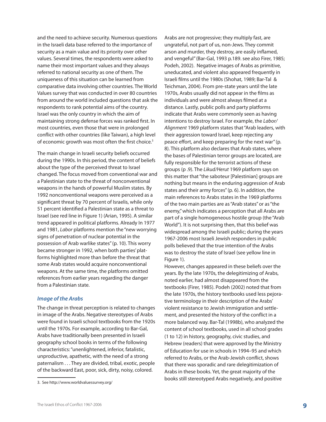and the need to achieve security. Numerous questions in the Israeli data base referred to the importance of security as a main value and its priority over other values. Several times, the respondents were asked to name their most important values and they always referred to national security as one of them. The uniqueness of this situation can be learned from comparative data involving other countries. The World Values survey that was conducted in over 80 countries from around the world included questions that ask the respondents to rank potential aims of the country. Israel was the only country in which the aim of maintaining strong defense forces was ranked first. In most countries, even those that were in prolonged conflict with other countries (like Taiwan), a high level of economic growth was most often the first choice.<sup>3</sup>

The main change in Israeli security beliefs occurred during the 1990s. In this period, the content of beliefs about the type of the perceived threat to Israel changed. The focus moved from conventional war and a Palestinian state to the threat of nonconventional weapons in the hands of powerful Muslim states. By 1992 nonconventional weapons were perceived as a significant threat by 70 percent of Israelis, while only 51 percent identified a Palestinian state as a threat to Israel (see red line in Figure 1) (Arian, 1995). A similar trend appeared in political platforms. Already In 1977 and 1981, *Labor* platforms mention the "new worrying signs of penetration of nuclear potential in the possession of Arab warlike states" (p. 10). This worry became stronger in 1992, when both parties' platforms highlighted more than before the threat that some Arab states would acquire nonconventional weapons. At the same time, the platforms omitted references from earlier years regarding the danger from a Palestinian state.

#### *Image of the Arabs*

The change in threat perception is related to changes in image of the Arabs. Negative stereotypes of Arabs were found in Israeli school textbooks from the 1920s until the 1970s. For example, according to Bar-Gal, Arabs have traditionally been presented in Israeli geography school books in terms of the following characteristics: "unenlightened, inferior, fatalistic, unproductive, apathetic, with the need of a strong paternalism . . . They are divided, tribal, exotic, people of the backward East, poor, sick, dirty, noisy, colored.

Arabs are not progressive; they multiply fast, are ungrateful, not part of us, non-Jews. They commit arson and murder, they destroy, are easily inflamed, and vengeful" (Bar-Gal, 1993 p.189. see also Firer, 1985; Podeh, 2002). Negative images of Arabs as primitive, uneducated, and violent also appeared frequently in Israeli films until the 1980s (Shohat, 1989; Bar-Tal & Teichman, 2004). From pre-state years until the late 1970s, Arabs usually did not appear in the films as individuals and were almost always filmed at a distance. Lastly, public polls and party platforms indicate that Arabs were commonly seen as having intentions to destroy Israel. For example, the *Labor/ Alignment* 1969 platform states that "Arab leaders, with their aggression toward Israel, keep rejecting any peace effort, and keep preparing for the next war" (p. 8). This platform also declares that Arab states, where the bases of Palestinian terror groups are located, are fully responsible for the terrorist actions of these groups (p .9). The *Likud/Herut* 1969 platform says on this matter that "the saboteur [Palestinian] groups are nothing but means in the enduring aggression of Arab states and their army forces" (p. 6). In addition, the main references to Arabs states in the 1969 platforms of the two main parties are as "Arab states" or as "the enemy," which indicates a perception that all Arabs are part of a single homogeneous hostile group (the "Arab World"). It is not surprising then, that this belief was widespread among the Israeli public; during the years 1967-2006 most Israeli Jewish responders in public polls believed that the true intention of the Arabs was to destroy the state of Israel (see yellow line in Figure 1).

However, changes appeared in these beliefs over the years. By the late 1970s, the delegitimizing of Arabs, noted earlier, had almost disappeared from the textbooks (Firer, 1985). Podeh (2002) noted that from the late 1970s, the history textbooks used less pejorative terminology in their description of the Arabs' violent resistance to Jewish immigration and settlement, and presented the history of the conflict in a more balanced way. Bar-Tal (1998b), who analyzed the content of school textbooks, used in all school grades (1 to 12) in history, geography, civic studies, and Hebrew (readers) that were approved by the Ministry of Education for use in schools in 1994–95 and which referred to Arabs, or the Arab-Jewish conflict, shows that there was sporadic and rare delegitimization of Arabs in these books. Yet, the great majority of the books still stereotyped Arabs negatively, and positive

<sup>3.</sup> See http://www.worldvaluessurvey.org/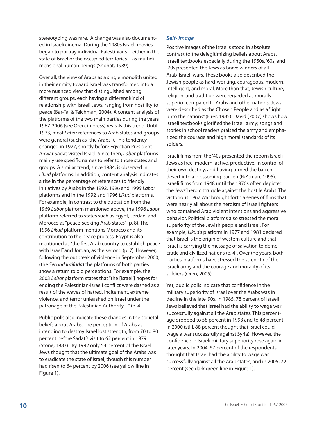stereotyping was rare. A change was also documented in Israeli cinema. During the 1980s Israeli movies began to portray individual Palestinians—either in the state of Israel or the occupied territories—as multidimensional human beings (Shohat, 1989).

Over all, the view of Arabs as a single monolith united in their enmity toward Israel was transformed into a more nuanced view that distinguished among different groups, each having a different kind of relationship with Israeli Jews, ranging from hostility to peace (Bar-Tal & Teichman, 2004). A content analysis of the platforms of the two main parties during the years 1967-2006 (see Oren, in press) reveals this trend. Until 1973, most *Labor* references to Arab states and groups were general (such as "the Arabs"). This tendency changed in 1977, shortly before Egyptian President Anwar Sadat visited Israel. Since then, *Labor* platforms mainly use specific names to refer to those states and groups. A similar trend, since 1984, is observed in *Likud* platforms. In addition, content analysis indicates a rise in the percentage of references to friendly initiatives by Arabs in the 1992, 1996 and 1999 *Labor* platforms and in the 1992 and 1996 *Likud* platforms. For example, in contrast to the quotation from the 1969 *Labor* platform mentioned above, the 1996 *Labor* platform referred to states such as Egypt, Jordan, and Morocco as "peace-seeking Arab states" (p. 8). The 1996 *Likud* platform mentions Morocco and its contribution to the peace process. Egypt is also mentioned as "the first Arab country to establish peace with Israel" and Jordan, as the second (p. 7). However, following the outbreak of violence in September 2000, (the *Second Intifada*) the platforms of both parties show a return to old perceptions. For example, the 2003 *Labor* platform states that "the [Israeli] hopes for ending the Palestinian-Israeli conflict were dashed as a result of the waves of hatred, incitement, extreme violence, and terror unleashed on Israel under the patronage of the Palestinian Authority…" (p. 4).

Public polls also indicate these changes in the societal beliefs about Arabs. The perception of Arabs as intending to destroy Israel lost strength, from 70 to 80 percent before Sadat's visit to 62 percent in 1979 (Stone, 1983). By 1992 only 54 percent of the Israeli Jews thought that the ultimate goal of the Arabs was to eradicate the state of Israel, though this number had risen to 64 percent by 2006 (see yellow line in Figure 1).

#### *Self- image*

Positive images of the Israelis stood in absolute contrast to the delegitimizing beliefs about Arabs. Israeli textbooks especially during the 1950s, '60s, and '70s presented the Jews as brave winners of all Arab-Israeli wars. These books also described the Jewish people as hard-working, courageous, modern, intelligent, and moral. More than that, Jewish culture, religion, and tradition were regarded as morally superior compared to Arabs and other nations. Jews were described as the Chosen People and as a "light unto the nations" (Firer, 1985). David (2007) shows how Israeli textbooks glorified the Israeli army; songs and stories in school readers praised the army and emphasized the courage and high moral standards of its solders.

Israeli films from the '40s presented the reborn Israeli Jews as free, modern, active, productive, in control of their own destiny, and having turned the barren desert into a blossoming garden (Ne'eman, 1995). Israeli films from 1948 until the 1970s often depicted the Jews' heroic struggle against the hostile Arabs. The victorious 1967 War brought forth a series of films that were nearly all about the heroism of Israeli fighters who contained Arab violent intentions and aggressive behavior. Political platforms also stressed the moral superiority of the Jewish people and Israel. For example, *Likud*'s platform in 1977 and 1981 declared that Israel is the origin of western culture and that Israel is carrying the message of salvation to democratic and civilized nations (p. 4). Over the years, both parties' platforms have stressed the strength of the Israeli army and the courage and morality of its soldiers (Oren, 2005).

Yet, public polls indicate that confidence in the military superiority of Israel over the Arabs was in decline in the late '90s. In 1985, 78 percent of Israeli Jews believed that Israel had the ability to wage war successfully against all the Arab states. This percentage dropped to 58 percent in 1993 and to 48 percent in 2000 (still, 88 percent thought that Israel could wage a war successfully against Syria). However, the confidence in Israeli military superiority rose again in later years. In 2004, 67 percent of the respondents thought that Israel had the ability to wage war successfully against all the Arab states; and in 2005, 72 percent (see dark green line in Figure 1).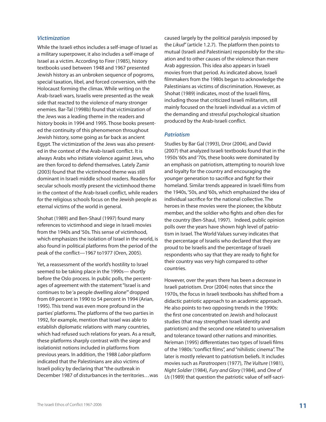#### *Victimization*

While the Israeli ethos includes a self-image of Israel as a military superpower, it also includes a self-image of Israel as a victim. According to Firer (1985), history textbooks used between 1948 and 1967 presented Jewish history as an unbroken sequence of pogroms, special taxation, libel, and forced conversion, with the Holocaust forming the climax. While writing on the Arab-Israeli wars, Israelis were presented as the weak side that reacted to the violence of many stronger enemies. Bar-Tal (1998b) found that victimization of the Jews was a leading theme in the readers and history books in 1994 and 1995. Those books presented the continuity of this phenomenon throughout Jewish history, some going as far back as ancient Egypt. The victimization of the Jews was also presented in the context of the Arab-Israeli conflict. It is always Arabs who initiate violence against Jews, who are then forced to defend themselves. Lately Zamir (2003) found that the victimhood theme was still dominant in Israeli middle school readers. Readers for secular schools mostly present the victimhood theme in the context of the Arab-Israeli conflict, while readers for the religious schools focus on the Jewish people as eternal victims of the world in general.

Shohat (1989) and Ben-Shaul (1997) found many references to victimhood and siege in Israeli movies from the 1940s and '50s. This sense of victimhood, which emphasizes the isolation of Israel in the world, is also found in political platforms from the period of the peak of the conflict—1967 to1977 (Oren, 2005).

Yet, a reassessment of the world's hostility to Israel seemed to be taking place in the 1990s— shortly before the Oslo process. In public polls, the percentages of agreement with the statement "Israel is and continues to be 'a people dwelling alone'" dropped from 69 percent in 1990 to 54 percent in 1994 (Arian, 1995). This trend was even more profound in the parties' platforms. The platforms of the two parties in 1992, for example, mention that Israel was able to establish diplomatic relations with many countries, which had refused such relations for years. As a result, these platforms sharply contrast with the siege and isolationist notions included in platforms from previous years. In addition, the 1988 *Labor* platform indicated that the Palestinians are also victims of Israeli policy by declaring that "the outbreak in December 1987 of disturbances in the territories…was caused largely by the political paralysis imposed by the *Likud*" (article 1.2.7). The platform then points to mutual (Israeli and Palestinian) responsibly for the situation and to other causes of the violence than mere Arab aggression. This idea also appears in Israeli movies from that period. As indicated above, Israeli filmmakers from the 1980s began to acknowledge the Palestinians as victims of discrimination. However, as Shohat (1989) indicates, most of the Israeli films, including those that criticized Israeli militarism, still mainly focused on the Israeli individual as a victim of the demanding and stressful psychological situation produced by the Arab-Israeli conflict.

#### *Patriotism*

Studies by Bar Gal (1993), Dror (2004), and David (2007) that analyzed Israeli textbooks found that in the 1950s '60s and '70s, these books were dominated by an emphasis on patriotism, attempting to nourish love and loyalty for the country and encouraging the younger generation to sacrifice and fight for their homeland. Similar trends appeared in Israeli films from the 1940s, '50s, and '60s, which emphasized the idea of individual sacrifice for the national collective. The heroes in these movies were the pioneer, the kibbutz member, and the soldier who fights and often dies for the country (Ben-Shaul, 1997). Indeed, public opinion polls over the years have shown high level of patriotism in Israel. The World Values survey indicates that the percentage of Israelis who declared that they are proud to be Israelis and the percentage of Israeli respondents who say that they are ready to fight for their country was very high compared to other countries.

However, over the years there has been a decrease in Israeli patriotism. Dror (2004) notes that since the 1970s, the focus in Israeli textbooks has shifted from a didactic patriotic approach to an academic approach. He also points to two opposing trends in the 1990s: the first one concentrated on Jewish and holocaust studies (that may strengthen Israeli identity and patriotism) and the second one related to universalism and tolerance toward other nations and minorities. Ne'eman (1995) differentiates two types of Israeli films of the 1980s: "conflict films", and "nihilistic cinema". The later is mostly relevant to patriotism beliefs. It includes movies such as *Paratroopers* (1977), *The Vulture* (1981), *Night Soldier* (1984), *Fury and Glory* (1984), and *One of Us*(1989) that question the patriotic value of self-sacri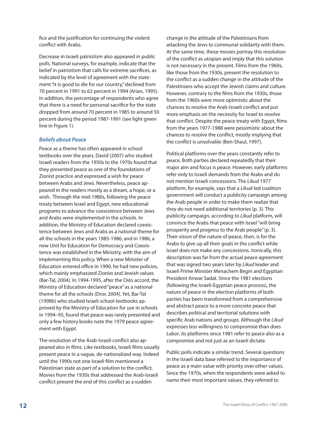fice and the justification for continuing the violent conflict with Arabs.

Decrease in Israeli patriotism also appeared in public polls. National surveys, for example, indicate that the belief in patriotism that calls for extreme sacrifices, as indicated by the level of agreement with the statement "it is good to die for our country," declined from 70 percent in 1991 to 62 percent in 1994 (Arian, 1995). In addition, the percentage of respondents who agree that there is a need for personal sacrifice for the state dropped from around 70 percent in 1985 to around 50 percent during the period 1987-1991 (see light green line in Figure 1).

#### *Beliefs about Peace*

Peace as a theme has often appeared in school textbooks over the years. David (2007) who studied Israeli readers from the 1950s to the 1970s found that they presented peace as one of the foundations of Zionist practice and expressed a wish for peace between Arabs and Jews. Nevertheless, peace appeared in the readers mostly as a dream, a hope, or a wish. Through the mid-1980s, following the peace treaty between Israel and Egypt, new educational programs to advance the coexistence between Jews and Arabs were implemented in the schools. In addition, the Ministry of Education declared coexistence between Jews and Arabs as a national theme for all the schools in the years 1985-1986; and in 1986, a new Unit for Education for Democracy and Coexistence was established in the Ministry, with the aim of implementing this policy. When a new Minister of Education entered office in 1990, he had new policies, which mainly emphasized Zionist and Jewish values (Bar-Tal, 2004). In 1994-1995, after the Oslo accord, the Ministry of Education declared "peace" as a national theme for all the schools (Dror, 2004). Yet, Bar-Tal (1998b) who studied Israeli school textbooks approved by the Ministry of Education for use in schools in 1994–95, found that peace was rarely presented and only a few history books note the 1979 peace agreement with Egypt.

The resolution of the Arab-Israeli conflict also appeared also in films. Like textbooks, Israeli films usually present peace in a vague, de-nationalized way. Indeed until the 1990s not one Israeli film mentioned a Palestinian state as part of a solution to the conflict. Movies from the 1930s that addressed the Arab-Israeli conflict present the end of this conflict as a sudden

change in the attitude of the Palestinians from attacking the Jews to communal solidarity with them. At the same time, these movies portray this resolution of the conflict as utopian and imply that this solution is not necessary in the present. Films from the 1960s, like those from the 1930s, present the resolution to the conflict as a sudden change in the attitude of the Palestinians who accept the Jewish claims and culture. However, contrary to the films from the 1930s, those from the 1960s were more optimistic about the chances to resolve the Arab-Israeli conflict and put more emphasis on the necessity for Israel to resolve that conflict. Despite the peace treaty with Egypt, films from the years 1977-1988 were pessimistic about the chances to resolve the conflict, mostly implying that the conflict is unsolvable (Ben-Shaul, 1997).

Political platforms over the years constantly refer to peace. Both parties declared repeatedly that their major aim and focus is peace. However, early platforms refer only to Israeli demands from the Arabs and do not mention Israeli concessions. The *Likud* 1977 platform, for example, says that a *Likud*-led coalition government will conduct a publicity campaign among the Arab people in order to make them realize that they do not need additional territories (p. 3). This publicity campaign, according to *Likud* platform, will convince the Arabs that peace with Israel "will bring prosperity and progress to the Arab people" (p. 3). Their vision of the nature of peace, then, is for the Arabs to give up all their goals in the conflict while Israel does not make any concessions. Ironically, this description was far from the actual peace agreement that was signed two years later by *Likud* leader and Israeli Prime Minister Menachem Begin and Egyptian President Anwar Sadat. Since the 1981 elections (following the Israeli-Egyptian peace process), the nature of peace in the election platforms of both parties has been transformed from a comprehensive and abstract peace to a more concrete peace that describes political and territorial solutions with specific Arab nations and groups. Although the *Likud* expresses less willingness to compromise than does *Labor*, its platforms since 1981 refer to peace also as a compromise and not just as an Israeli dictate.

Public polls indicate a similar trend. Several questions in the Israeli data base referred to the importance of peace as a main value with priority over other values. Since the 1970s, when the respondents were asked to name their most important values, they referred to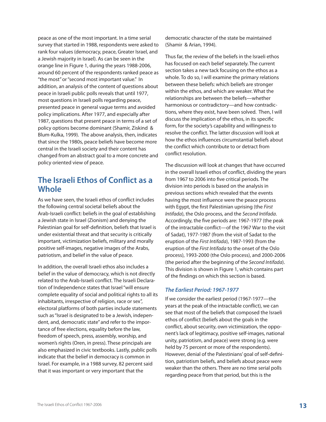peace as one of the most important. In a time serial survey that started in 1988, respondents were asked to rank four values (democracy, peace, Greater Israel, and a Jewish majority in Israel). As can be seen in the orange line in Figure 1, during the years 1988-2006, around 60 percent of the respondents ranked peace as "the most" or "second most important value." In addition, an analysis of the content of questions about peace in Israeli public polls reveals that until 1977, most questions in Israeli polls regarding peace, presented peace in general vague terms and avoided policy implications. After 1977, and especially after 1987, questions that present peace in terms of a set of policy options become dominant (Shamir, Ziskind & Blum-Kulka, 1999). The above analysis, then, indicates that since the 1980s, peace beliefs have become more central in the Israeli society and their content has changed from an abstract goal to a more concrete and policy oriented view of peace.

### **The Israeli Ethos of Conflict as a Whole**

As we have seen, the Israeli ethos of conflict includes the following central societal beliefs about the Arab-Israeli conflict: beliefs in the goal of establishing a Jewish state in Israel (Zionism) and denying the Palestinian goal for self-definition, beliefs that Israel is under existential threat and that security is critically important, victimization beliefs, military and morally positive self-images, negative images of the Arabs, patriotism, and belief in the value of peace.

In addition, the overall Israeli ethos also includes a belief in the value of democracy, which is not directly related to the Arab-Israeli conflict. The Israeli Declaration of Independence states that Israel "will ensure complete equality of social and political rights to all its inhabitants, irrespective of religion, race or sex", electoral platforms of both parties include statements such as "Israel is designated to be a Jewish, independent, and, democratic state" and refer to the importance of free elections, equality before the law, freedom of speech, press, assembly, worship, and women's rights (Oren, in press). These principals are also emphasized in civic textbooks. Lastly, public polls indicate that the belief in democracy is common in Israel. For example, in a 1988 survey, 82 percent said that it was important or very important that the

democratic character of the state be maintained (Shamir & Arian, 1994).

Thus far, the review of the beliefs in the Israeli ethos has focused on each belief separately. The current section takes a new tack focusing on the ethos as a whole. To do so, I will examine the primary relations between these beliefs: which beliefs are stronger within the ethos, and which are weaker. What the relationships are between the beliefs—whether harmonious or contradictory—and how contradictions, where they exist, have been solved. Then, I will discuss the implication of the ethos, in its specific form, for the society's capability and willingness to resolve the conflict. The latter discussion will look at how the ethos influences circumstantial beliefs about the conflict which contribute to or detract from conflict resolution.

The discussion will look at changes that have occurred in the overall Israeli ethos of conflict, dividing the years from 1967 to 2006 into five critical periods. The division into periods is based on the analysis in previous sections which revealed that the events having the most influence were the peace process with Egypt, the first Palestinian uprising (the *First Intifada*), the Oslo process, and the *Second Intifada*. Accordingly, the five periods are: 1967-1977 (the peak of the intractable conflict—of the 1967 War to the visit of Sadat), 1977-1987 (from the visit of Sadat to the eruption of the *First Intifada*), 1987-1993 (from the eruption of the *First Intifada* to the onset of the Oslo process), 1993-2000 (the Oslo process), and 2000-2006 (the period after the beginning of the *Second Intifada*). This division is shown in Figure 1, which contains part of the findings on which this section is based.

#### *The Earliest Period: 1967-1977*

If we consider the earliest period (1967-1977—the years at the peak of the intractable conflict), we can see that most of the beliefs that composed the Israeli ethos of conflict (beliefs about the goals in the conflict, about security, own victimization, the opponent's lack of legitimacy, positive self-images, national unity, patriotism, and peace) were strong (e.g. were held by 75 percent or more of the respondents). However, denial of the Palestinians' goal of self-definition, patriotism beliefs, and beliefs about peace were weaker than the others. There are no time serial polls regarding peace from that period, but this is the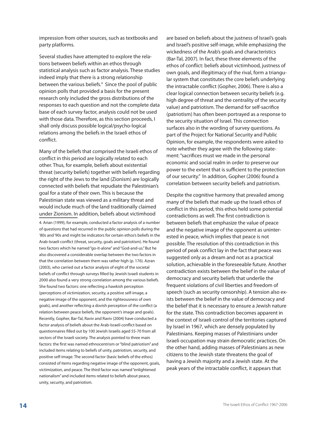impression from other sources, such as textbooks and party platforms.

Several studies have attempted to explore the relations between beliefs within an ethos through statistical analysis such as factor analysis. These studies indeed imply that there is a strong relationship between the various beliefs.<sup>4</sup> Since the pool of public opinion polls that provided a basis for the present research only included the gross distributions of the responses to each question and not the complete data base of each survey factor, analysis could not be used with those data. Therefore, as this section proceeds, I shall only discuss possible logical/psycho-logical relations among the beliefs in the Israeli ethos of conflict.

Many of the beliefs that comprised the Israeli ethos of conflict in this period are logically related to each other. Thus, for example, beliefs about existential threat (security beliefs) together with beliefs regarding the right of the Jews to the land (Zionism) are logically connected with beliefs that repudiate the Palestinian's goal for a state of their own. This is because the Palestinian state was viewed as a military threat and would include much of the land traditionally claimed under Zionism. In addition, beliefs about victimhood

4. Arian (1999), for example, conducted a factor analysis of a number of questions that had recurred in the public opinion polls during the '80s and '90s and might be indicators for certain ethos's beliefs in the Arab-Israeli conflict (threat, security, goals and patriotism). He found two factors which he named "go-it-alone" and "God-and-us." But he also discovered a considerable overlap between the two factors in that the correlation between them was rather high (p. 176). Azran (2003), who carried out a factor analysis of eight of the societal beliefs of conflict through surveys filled by Jewish Israeli students in 2000 also found a very strong correlation among the various beliefs. She found two factors: one reflecting a hawkish perception (perceptions of victimization, security, a positive self-image, a negative image of the opponent, and the righteousness of own goals), and another reflecting a dovish perception of the conflict (a relation between peace beliefs, the opponent's image and goals). Recently, Gopher, Bar-Tal, Raviv and Raviv (2004) have conducted a factor analysis of beliefs about the Arab-Israeli conflict based on questionnaires filled out by 100 Jewish Israelis aged 55-70 from all sectors of the Israeli society. The analysis pointed to three main factors: the first was named ethnocentrism or "blind patriotism" and included items relating to beliefs of unity, patriotism, security, and positive self-image. The second factor (basic beliefs of the ethos) consisted of items regarding negative image of the opponent, goals, victimization, and peace. The third factor was named "enlightened nationalism" and included items related to beliefs about peace, unity, security, and patriotism.

are based on beliefs about the justness of Israel's goals and Israel's positive self-image, while emphasizing the wickedness of the Arab's goals and characteristics (Bar-Tal, 2007). In fact, these three elements of the ethos of conflict: beliefs about victimhood, justness of own goals, and illegitimacy of the rival, form a triangular system that constitutes the core beliefs underlying the intractable conflict (Gopher, 2006). There is also a clear logical connection between security beliefs (e.g. high degree of threat and the centrality of the security value) and patriotism. The demand for self-sacrifice (patriotism) has often been portrayed as a response to the security situation of Israel. This connection surfaces also in the wording of survey questions. As part of the Project for National Security and Public Opinion, for example, the respondents were asked to note whether they agree with the following statement: "sacrifices must we made in the personal economic and social realm in order to preserve our power to the extent that is sufficient to the protection of our security." In addition, Gopher (2006) found a correlation between security beliefs and patriotism.

Despite the cognitive harmony that prevailed among many of the beliefs that made up the Israeli ethos of conflict in this period, this ethos held some potential contradictions as well. The first contradiction is between beliefs that emphasize the value of peace and the negative image of the opponent as uninterested in peace, which implies that peace is not possible. The resolution of this contradiction in this period of peak conflict lay in the fact that peace was suggested only as a dream and not as a practical solution, achievable in the foreseeable future. Another contradiction exists between the belief in the value of democracy and security beliefs that underlie the frequent violations of civil liberties and freedom of speech (such as security censorship). A tension also exists between the belief in the value of democracy and the belief that it is necessary to ensure a Jewish nature for the state. This contradiction becomes apparent in the context of Israeli control of the territories captured by Israel in 1967, which are densely populated by Palestinians. Keeping masses of Palestinians under Israeli occupation may strain democratic practices. On the other hand, adding masses of Palestinians as new citizens to the Jewish state threatens the goal of having a Jewish majority and a Jewish state. At the peak years of the intractable conflict, it appears that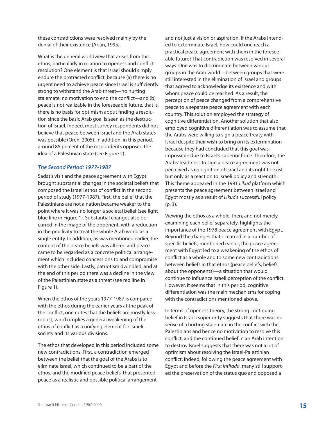these contradictions were resolved mainly by the denial of their existence (Arian, 1995).

What is the general worldview that arises from this ethos, particularly in relation to ripeness and conflict resolution? One element is that Israel should simply endure the protracted conflict, because (a) there is no urgent need to achieve peace since Israel is sufficiently strong to withstand the Arab threat—no hurting stalemate, no motivation to end the conflict—and (b) peace is not realizable in the foreseeable future, that is, there is no basis for optimism about finding a resolution since the basic Arab goal is seen as the destruction of Israel. Indeed, most survey respondents did not believe that peace between Israel and the Arab states was possible (Oren, 2005). In addition, in this period, around 85 percent of the respondents opposed the idea of a Palestinian state (see Figure 2).

#### *The Second Period: 1977-1987*

Sadat's visit and the peace agreement with Egypt brought substantial changes in the societal beliefs that composed the Israeli ethos of conflict in the second period of study (1977-1987). First, the belief that the Palestinians are not a nation became weaker to the point where it was no longer a societal belief (see light blue line in Figure 1). Substantial changes also occurred in the image of the opponent, with a reduction in the proclivity to treat the whole Arab world as a single entity. In addition, as was mentioned earlier, the content of the peace beliefs was altered and peace came to be regarded as a concrete political arrangement which included concessions to and compromise with the other side. Lastly, patriotism dwindled, and at the end of this period there was a decline in the view of the Palestinian state as a threat (see red line in Figure 1).

When the ethos of the years 1977-1987 is compared with the ethos during the earlier years at the peak of the conflict, one notes that the beliefs are mostly less robust, which implies a general weakening of the ethos of conflict as a unifying element for Israeli society and its various divisions.

The ethos that developed in this period included some new contradictions. First, a contradiction emerged between the belief that the goal of the Arabs is to eliminate Israel, which continued to be a part of the ethos, and the modified peace beliefs, that presented peace as a realistic and possible political arrangement

and not just a vision or aspiration. If the Arabs intended to exterminate Israel, how could one reach a practical peace agreement with them in the foreseeable future? That contradiction was resolved in several ways. One was to discriminate between various groups in the Arab world—between groups that were still interested in the elimination of Israel and groups that agreed to acknowledge its existence and with whom peace could be reached. As a result, the perception of peace changed from a comprehensive peace to a separate peace agreement with each country. This solution employed the strategy of cognitive differentiation. Another solution that also employed cognitive differentiation was to assume that the Arabs were willing to sign a peace treaty with Israel despite their wish to bring on its extermination because they had concluded that this goal was impossible due to Israel's superior force. Therefore, the Arabs' readiness to sign a peace agreement was not perceived as recognition of Israel and its right to exist but only as a reaction to Israeli policy and strength. This theme appeared in the 1981 *Likud* platform which presents the peace agreement between Israel and Egypt mostly as a result of *Likud*'s successful policy (p. 3).

Viewing the ethos as a whole, then, and not merely examining each belief separately, highlights the importance of the 1978 peace agreement with Egypt. Beyond the changes that occurred in a number of specific beliefs, mentioned earlier, the peace agreement with Egypt led to a weakening of the ethos of conflict as a whole and to some new contradictions between beliefs in that ethos (peace beliefs, beliefs about the opponents)—a situation that would continue to influence Israeli perception of the conflict. However, it seems that in this period, cognitive differentiation was the main mechanisms for coping with the contradictions mentioned above.

In terms of ripeness theory, the strong continuing belief in Israeli superiority suggests that there was no sense of a hurting stalemate in the conflict with the Palestinians and hence no motivation to resolve this conflict; and the continued belief in an Arab intention to destroy Israel suggests that there was not a lot of optimism about resolving the Israel-Palestinian conflict. Indeed, following the peace agreement with Egypt and before the *First Intifada*, many still supported the preservation of the status quo and opposed a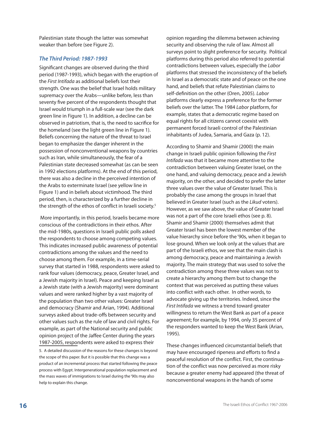Palestinian state though the latter was somewhat weaker than before (see Figure 2).

#### *The Third Period: 1987-1993*

Significant changes are observed during the third period (1987-1993), which began with the eruption of the *First Intifada* as additional beliefs lost their strength. One was the belief that Israel holds military supremacy over the Arabs—unlike before, less than seventy five percent of the respondents thought that Israel would triumph in a full-scale war (see the dark green line in Figure 1). In addition, a decline can be observed in patriotism, that is, the need to sacrifice for the homeland (see the light green line in Figure 1). Beliefs concerning the nature of the threat to Israel began to emphasize the danger inherent in the possession of nonconventional weapons by countries such as Iran, while simultaneously, the fear of a Palestinian state decreased somewhat (as can be seen in 1992 elections platforms). At the end of this period, there was also a decline in the perceived intention of the Arabs to exterminate Israel (see yellow line in Figure 1) and in beliefs about victimhood. The third period, then, is characterized by a further decline in the strength of the ethos of conflict in Israeli society.<sup>5</sup>

 More importantly, in this period, Israelis became more conscious of the contradictions in their ethos. After the mid-1980s, questions in Israeli public polls asked the respondents to choose among competing values. This indicates increased public awareness of potential contradictions among the values and the need to choose among them. For example, in a time-serial survey that started in 1988, respondents were asked to rank four values (democracy, peace, Greater Israel, and a Jewish majority in Israel). Peace and keeping Israel as a Jewish state (with a Jewish majority) were dominant values and were ranked higher by a vast majority of the population than two other values: Greater Israel and democracy (Shamir and Arian, 1994). Additional surveys asked about trade-offs between security and other values such as the rule of law and civil rights. For example, as part of the National security and public opinion project of the Jaffee Center during the years 1987-2005, respondents were asked to express their 5. A detailed discussion of the reasons for these changes is beyond the scope of this paper. But it is possible that this change was a product of an incremental process that started following the peace process with Egypt. Intergenerational population replacement and the mass waves of immigrations to Israel during the '90s may also help to explain this change.

opinion regarding the dilemma between achieving security and observing the rule of law. Almost all surveys point to slight preference for security. Political platforms during this period also referred to potential contradictions between values, especially the *Labor* platforms that stressed the inconsistency of the beliefs in Israel as a democratic state and of peace on the one hand, and beliefs that refute Palestinian claims to self-definition on the other (Oren, 2005). *Labor* platforms clearly express a preference for the former beliefs over the latter. The 1984 *Labor* platform, for example, states that a democratic regime based on equal rights for all citizens cannot coexist with permanent forced Israeli control of the Palestinian inhabitants of Judea, Samaria, and Gaza (p. 12).

According to Shamir and Shamir (2000) the main change in Israeli public opinion following the *First Intifada* was that it became more attentive to the contradiction between valuing Greater Israel, on the one hand, and valuing democracy, peace and a Jewish majority, on the other, and decided to prefer the latter three values over the value of Greater Israel. This is probably the case among the groups in Israel that believed in Greater Israel (such as the *Likud* voters). However, as we saw above, the value of Greater Israel was not a part of the core Israeli ethos (see p. 8). Shamir and Shamir (2000) themselves admit that Greater Israel has been the lowest member of the value hierarchy since before the '90s, when it began to lose ground. When we look only at the values that are part of the Israeli ethos, we see that the main clash is among democracy, peace and maintaining a Jewish majority. The main strategy that was used to solve the contradiction among these three values was not to create a hierarchy among them but to change the context that was perceived as putting these values into conflict with each other. In other words, to advocate giving up the territories. Indeed, since the *First Intifada* we witness a trend toward greater willingness to return the West Bank as part of a peace agreement; for example, by 1994, only 35 percent of the responders wanted to keep the West Bank (Arian, 1995).

These changes influenced circumstantial beliefs that may have encouraged ripeness and efforts to find a peaceful resolution of the conflict. First, the continuation of the conflict was now perceived as more risky because a greater enemy had appeared (the threat of nonconventional weapons in the hands of some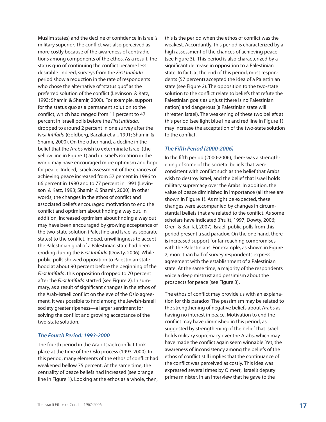Muslim states) and the decline of confidence in Israel's military superior. The conflict was also perceived as more costly because of the awareness of contradictions among components of the ethos. As a result, the status quo of continuing the conflict became less desirable. Indeed, surveys from the *First Intifada* period show a reduction in the rate of respondents who chose the alternative of "status quo" as the preferred solution of the conflict (Levinson & Katz, 1993; Shamir & Shamir, 2000). For example, support for the status quo as a permanent solution to the conflict, which had ranged from 11 percent to 47 percent in Israeli polls before the *First Intifada*, dropped to around 2 percent in one survey after the *First Intifada* (Goldberg, Barzilai et al., 1991; Shamir & Shamir, 2000). On the other hand, a decline in the belief that the Arabs wish to exterminate Israel (the yellow line in Figure 1) and in Israel's isolation in the world may have encouraged more optimism and hope for peace. Indeed, Israeli assessment of the chances of achieving peace increased from 57 percent in 1986 to 66 percent in 1990 and to 77 percent in 1991 (Levinson & Katz, 1993; Shamir & Shamir, 2000). In other words, the changes in the ethos of conflict and associated beliefs encouraged motivation to end the conflict and optimism about finding a way out. In addition, increased optimism about finding a way out may have been encouraged by growing acceptance of the two-state solution (Palestine and Israel as separate states) to the conflict. Indeed, unwillingness to accept the Palestinian goal of a Palestinian state had been eroding during the *First Intifada* (Dowty, 2006). While public polls showed opposition to Palestinian statehood at about 90 percent before the beginning of the *First Intifada*, this opposition dropped to 70 percent after the *First Intifada* started (see Figure 2). In summary, as a result of significant changes in the ethos of the Arab-Israeli conflict on the eve of the Oslo agreement, it was possible to find among the Jewish-Israeli society greater ripeness—a larger sentiment for solving the conflict and growing acceptance of the two-state solution.

#### *The Fourth Period: 1993-2000*

The fourth period in the Arab-Israeli conflict took place at the time of the Oslo process (1993-2000). In this period, many elements of the ethos of conflict had weakened bellow 75 percent. At the same time, the centrality of peace beliefs had increased (see orange line in Figure 1**)**. Looking at the ethos as a whole, then,

this is the period when the ethos of conflict was the weakest. Accordantly, this period is characterized by a high assessment of the chances of achieving peace (see Figure 3). This period is also characterized by a significant decrease in opposition to a Palestinian state. In fact, at the end of this period, most respondents (57 percent) accepted the idea of a Palestinian state (see Figure 2). The opposition to the two-state solution to the conflict relate to beliefs that refute the Palestinian goals as unjust (there is no Palestinian nation) and dangerous (a Palestinian state will threaten Israel). The weakening of these two beliefs at this period (see light blue line and red line in Figure 1) may increase the acceptation of the two-state solution to the conflict.

#### *The Fifth Period (2000-2006)*

In the fifth period (2000-2006), there was a strengthening of some of the societal beliefs that were consistent with conflict such as the belief that Arabs wish to destroy Israel, and the belief that Israel holds military supremacy over the Arabs. In addition, the value of peace diminished in importance (all three are shown in Figure 1). As might be expected, these changes were accompanied by changes in circumstantial beliefs that are related to the conflict. As some scholars have indicated (Pruitt, 1997; Dowty, 2006; Oren & Bar-Tal, 2007), Israeli public polls from this period present a sad paradox. On the one hand, there is increased support for far-reaching compromises with the Palestinians. For example, as shown in Figure 2, more than half of survey respondents express agreement with the establishment of a Palestinian state. At the same time, a majority of the respondents voice a deep mistrust and pessimism about the prospects for peace (see Figure 3).

The ethos of conflict may provide us with an explanation for this paradox. The pessimism may be related to the strengthening of negative beliefs about Arabs as having no interest in peace. Motivation to end the conflict may have diminished in this period, as suggested by strengthening of the belief that Israel holds military supremacy over the Arabs, which may have made the conflict again seem winnable. Yet, the awareness of inconsistency among the beliefs of the ethos of conflict still implies that the continuance of the conflict was perceived as costly. This idea was expressed several times by Olmert, Israel's deputy prime minister, in an interview that he gave to the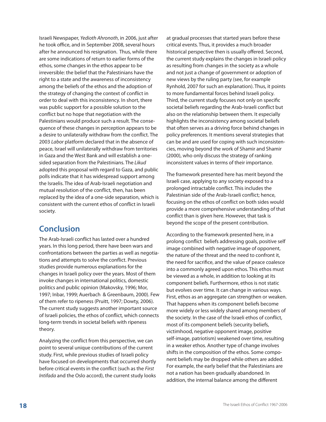Israeli Newspaper, *Yedioth Ahronoth*, in 2006, just after he took office, and in September 2008, several hours after he announced his resignation. Thus, while there are some indications of return to earlier forms of the ethos, some changes in the ethos appear to be irreversible: the belief that the Palestinians have the right to a state and the awareness of inconsistency among the beliefs of the ethos and the adoption of the strategy of changing the context of conflict in order to deal with this inconsistency. In short, there was public support for a possible solution to the conflict but no hope that negotiation with the Palestinians would produce such a result. The consequence of these changes in perception appears to be a desire to unilaterally withdraw from the conflict. The 2003 *Labor* platform declared that in the absence of peace, Israel will unilaterally withdraw from territories in Gaza and the West Bank and will establish a onesided separation from the Palestinians. The *Likud* adopted this proposal with regard to Gaza, and public polls indicate that it has widespread support among the Israelis. The idea of Arab-Israeli negotiation and mutual resolution of the conflict, then, has been replaced by the idea of a one-side separation, which is consistent with the current ethos of conflict in Israeli society.

# **Conclusion**

The Arab-Israeli conflict has lasted over a hundred years. In this long period, there have been wars and confrontations between the parties as well as negotiations and attempts to solve the conflict. Previous studies provide numerous explanations for the changes in Israeli policy over the years. Most of them invoke changes in international politics, domestic politics and public opinion (Makovsky, 1996; Mor, 1997; Inbar, 1999; Auerbach & Greenbaum, 2000). Few of them refer to ripeness (Pruitt, 1997; Dowty, 2006). The current study suggests another important source of Israeli policies, the ethos of conflict, which connects long-term trends in societal beliefs with ripeness theory.

Analyzing the conflict from this perspective, we can point to several unique contributions of the current study. First, while previous studies of Israeli policy have focused on developments that occurred shortly before critical events in the conflict (such as the *First Intifada* and the Oslo accord), the current study looks at gradual processes that started years before these critical events. Thus, it provides a much broader historical perspective then is usually offered. Second, the current study explains the changes in Israeli policy as resulting from changes in the society as a whole and not just a change of government or adoption of new views by the ruling party (see, for example Rynhold, 2007 for such an explanation). Thus, it points to more fundamental forces behind Israeli policy. Third, the current study focuses not only on specific societal beliefs regarding the Arab-Israeli conflict but also on the relationship between them. It especially highlights the inconsistency among societal beliefs that often serves as a driving force behind changes in policy preferences. It mentions several strategies that can be and are used for coping with such inconsistencies, moving beyond the work of Shamir and Shamir (2000), who only discuss the strategy of ranking inconsistent values in terms of their importance.

The framework presented here has merit beyond the Israeli case, applying to any society exposed to a prolonged intractable conflict. This includes the Palestinian side of the Arab-Israeli conflict; hence, focusing on the ethos of conflict on both sides would provide a more comprehensive understanding of that conflict than is given here. However, that task is beyond the scope of the present contribution.

According to the framework presented here, in a prolong conflict beliefs addressing goals, positive self image combined with negative image of opponent, the nature of the threat and the need to confront it, the need for sacrifice, and the value of peace coalesce into a commonly agreed upon ethos. This ethos must be viewed as a whole, in addition to looking at its component beliefs. Furthermore, ethos is not static but evolves over time. It can change in various ways. First, ethos as an aggregate can strengthen or weaken. That happens when its component beliefs become more widely or less widely shared among members of the society. In the case of the Israeli ethos of conflict, most of its component beliefs (security beliefs, victimhood, negative opponent image, positive self-image, patriotism) weakened over time, resulting in a weaker ethos. Another type of change involves shifts in the composition of the ethos. Some component beliefs may be dropped while others are added. For example, the early belief that the Palestinians are not a nation has been gradually abandoned. In addition, the internal balance among the different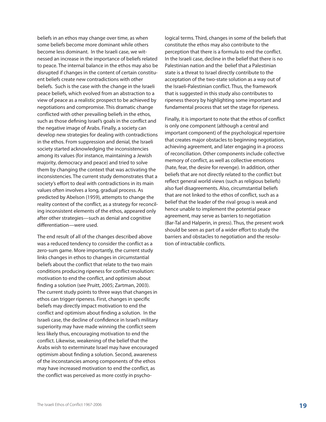beliefs in an ethos may change over time, as when some beliefs become more dominant while others become less dominant. In the Israeli case, we witnessed an increase in the importance of beliefs related to peace. The internal balance in the ethos may also be disrupted if changes in the content of certain constituent beliefs create new contradictions with other beliefs. Such is the case with the change in the Israeli peace beliefs, which evolved from an abstraction to a view of peace as a realistic prospect to be achieved by negotiations and compromise. This dramatic change conflicted with other prevailing beliefs in the ethos, such as those defining Israel's goals in the conflict and the negative image of Arabs. Finally, a society can develop new strategies for dealing with contradictions in the ethos. From suppression and denial, the Israeli society started acknowledging the inconsistencies among its values (for instance, maintaining a Jewish majority, democracy and peace) and tried to solve them by changing the context that was activating the inconsistencies. The current study demonstrates that a society's effort to deal with contradictions in its main values often involves a long, gradual process. As predicted by Abelson (1959), attempts to change the reality context of the conflict, as a strategy for reconciling inconsistent elements of the ethos, appeared only after other strategies—such as denial and cognitive differentiation—were used.

The end result of all of the changes described above was a reduced tendency to consider the conflict as a zero-sum game. More importantly, the current study links changes in ethos to changes in circumstantial beliefs about the conflict that relate to the two main conditions producing ripeness for conflict resolution: motivation to end the conflict, and optimism about finding a solution (see Pruitt, 2005; Zartman, 2003). The current study points to three ways that changes in ethos can trigger ripeness. First, changes in specific beliefs may directly impact motivation to end the conflict and optimism about finding a solution. In the Israeli case, the decline of confidence in Israel's military superiority may have made winning the conflict seem less likely thus, encouraging motivation to end the conflict. Likewise, weakening of the belief that the Arabs wish to exterminate Israel may have encouraged optimism about finding a solution. Second, awareness of the inconstancies among components of the ethos may have increased motivation to end the conflict, as the conflict was perceived as more costly in psychological terms. Third, changes in some of the beliefs that constitute the ethos may also contribute to the perception that there is a formula to end the conflict. In the Israeli case, decline in the belief that there is no Palestinian nation and the belief that a Palestinian state is a threat to Israel directly contribute to the acceptation of the two-state solution as a way out of the Israeli-Palestinian conflict. Thus, the framework that is suggested in this study also contributes to ripeness theory by highlighting some important and fundamental process that set the stage for ripeness.

Finally, it is important to note that the ethos of conflict is only one component (although a central and important component) of the psychological repertoire that creates major obstacles to beginning negotiation, achieving agreement, and later engaging in a process of reconciliation. Other components include collective memory of conflict, as well as collective emotions (hate, fear, the desire for revenge). In addition, other beliefs that are not directly related to the conflict but reflect general world views (such as religious beliefs) also fuel disagreements. Also, circumstantial beliefs that are not linked to the ethos of conflict, such as a belief that the leader of the rival group is weak and hence unable to implement the potential peace agreement, may serve as barriers to negotiation (Bar-Tal and Halperin, in press). Thus, the present work should be seen as part of a wider effort to study the barriers and obstacles to negotiation and the resolution of intractable conflicts.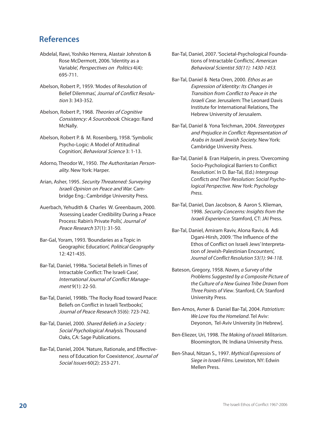### **References**

- Abdelal, Rawi, Yoshiko Herrera, Alastair Johnston & Rose McDermott, 2006. 'Identity as a Variable', Perspectives on Politics 4(4): 695-711.
- Abelson, Robert P., 1959. 'Modes of Resolution of Belief Dilemmas', Journal of Conflict Resolution 3: 343-352.
- Abelson, Robert P., 1968. Theories of Cognitive Consistency: A Sourcebook. Chicago: Rand McNally.
- Abelson, Robert P. & M. Rosenberg, 1958. 'Symbolic Psycho-Logic: A Model of Attitudinal Cognition', Behavioral Science 3: 1-13.
- Adorno, Theodor W., 1950. The Authoritarian Personality. New York: Harper.
- Arian, Asher, 1995. Security Threatened: Surveying Israeli Opinion on Peace and War. Cambridge Eng.: Cambridge University Press.
- Auerbach, Yehudith & Charles W. Greenbaum, 2000. 'Assessing Leader Credibility During a Peace Process: Rabin's Private Polls', Journal of Peace Research 37(1): 31-50.
- Bar-Gal, Yoram, 1993. 'Boundaries as a Topic in Geographic Education', Political Geography 12: 421-435.
- Bar-Tal, Daniel, 1998a. 'Societal Beliefs in Times of Intractable Conflict: The Israeli Case', International Journal of Conflict Management 9(1): 22-50.
- Bar-Tal, Daniel, 1998b. 'The Rocky Road toward Peace: Beliefs on Conflict in Israeli Textbooks', Journal of Peace Research 35(6): 723-742.
- Bar-Tal, Daniel, 2000. Shared Beliefs in a Society : Social Psychological Analysis. Thousand Oaks, CA: Sage Publications.
- Bar-Tal, Daniel, 2004. 'Nature, Rationale, and Effectiveness of Education for Coexistence', Journal of Social Issues 60(2): 253-271.
- Bar-Tal, Daniel, 2007. 'Societal-Psychological Foundations of Intractable Conflicts', American Behavioral Scientist 50(11): 1430-1453.
- Bar-Tal, Daniel & Neta Oren, 2000. Ethos as an Expression of Identity: Its Changes in Transition from Conflict to Peace in the **Israeli Case. Jerusalem: The Leonard Davis** Institute for International Relations, The Hebrew University of Jerusalem.
- Bar-Tal, Daniel & Yona Teichman, 2004. Stereotypes and Prejudice in Conflict: Representation of Arabs in Israeli Jewish Society. New York: Cambridge University Press.
- Bar-Tal, Daniel & Eran Halperin, in press. 'Overcoming Socio-Psychological Barriers to Conflict Resolution'. In D. Bar-Tal, (Ed.) *Intergroup Conflicts and Their Resolution: Social Psychological Perspective. New York: Psychology Press.*
- Bar-Tal, Daniel, Dan Jacobson, & Aaron S. Klieman, 1998. Security Concerns: Insights from the Israeli Experience. Stamford, CT: JAI Press.
- Bar-Tal, Daniel, Amiram Raviv, Alona Raviv, & Adi Dgani-Hirsh, 2009. 'The Influence of the Ethos of Conflict on Israeli Jews' Interpretation of Jewish-Palestinian Encounters', *Journal of Conflict Resolution 53(1): 94-118*.
- Bateson, Gregory, 1958. *Naven, a Survey of the Problems Suggested by a Composite Picture of the Culture of a New Guinea Tribe Drawn from Three Points of View*. Stanford, CA: Stanford University Press.
- Ben-Amos, Avner & Daniel Bar-Tal, 2004. *Patriotism: We Love You the Homeland*. Tel Aviv: Deyonon, Tel-Aviv University [in Hebrew].
- Ben-Eliezer, Uri, 1998. *The Making of Israeli Militarism*. Bloomington, IN: Indiana University Press.
- Ben-Shaul, Nitzan S., 1997. *Mythical Expressions of Siege in Israeli Films*. Lewiston, NY: Edwin Mellen Press.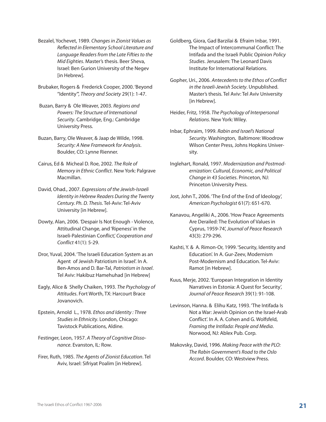- Bezalel, Yochevet, 1989. *Changesin Zionist Values as Reflected in Elementary School Literature and Language Readersfrom the Late Fiftiesto the Mid Eighties*. Master's thesis. Beer Sheva, Israel: Ben Gurion University of the Negev [in Hebrew].
- Brubaker, Rogers & Frederick Cooper, 2000. 'Beyond "Identity"', *Theory and Society* 29(1): 1-47.
- Buzan, Barry & Ole Weaver, 2003. *Regions and Powers: The Structure of International Security*. Cambridge, Eng.: Cambridge University Press.
- Buzan, Barry, Ole Weaver, & Jaap de Wilde, 1998. *Security: A New Framework for Analysis*. Boulder, CO: Lynne Rienner.
- Cairus, Ed & Micheal D. Roe, 2002. *The Role of Memory in Ethnic Conflict*. New York: Palgrave Macmillan.
- David, Ohad., 2007. *Expressions of the Jewish-Israeli Identity in Hebrew Readers During the Twenty Century. Ph. D. Thesis*. Tel-Aviv: Tel-Aviv University [in Hebrew].
- Dowty, Alan, 2006. *'*Despair Is Not Enough Violence, Attitudinal Change, and 'Ripeness' in the Israeli-Palestinian Conflict*', Cooperation and Conflict* 41(1): 5-29.
- Dror, Yuval, 2004. 'The Israeli Education System as an Agent of Jewish Patriotism in Israel'. In A. Ben-Amos and D. Bar-Tal, *Patriotism in Israel*. Tel Aviv: Hakibuz Hamehuhad [in Hebrew]
- Eagly, Alice & Shelly Chaiken, 1993. *The Psychology of Attitudes*. Fort Worth, TX: Harcourt Brace Jovanovich.
- Epstein, Arnold L., 1978. *Ethos and Identity : Three Studiesin Ethnicity*. London, Chicago: Tavistock Publications, Aldine.
- Festinger, Leon, 1957. *A Theory of Cognitive Dissonance*. Evanston, IL: Row.
- Firer, Ruth, 1985. *The Agents of Zionist Education*. Tel Aviv, Israel: Sifriyat Poalim [in Hebrew].
- Goldberg, Giora, Gad Barzilai & Efraim Inbar, 1991. The Impact of Intercommunal Conflict: The Intifada and the Israeli Public Opinion *Policy Studies*. Jerusalem: The Leonard Davis Institute for International Relations.
- Gopher, Uri., 2006. *Antecedentsto the Ethos of Conflict in the Israeli-Jewish Society*. Unpublished. Master's thesis. Tel Aviv: Tel Aviv University [in Hebrew].
- Heider, Fritz, 1958. *The Psychology of Interpersonal Relations*. New York: Wiley.
- Inbar, Ephraim, 1999. *Rabin and Israel's National Security*. Washington, Baltimore: Woodrow Wilson Center Press, Johns Hopkins University.
- Inglehart, Ronald, 1997. *Modernization and Postmodernization: Cultural, Economic, and Political Change in 43 Societies*. Princeton, NJ: Princeton University Press.
- Jost, John T., 2006. 'The End of the End of Ideology', *American Psychologist* 61(7): 651-670.
- Kanavou, Angeliki A., 2006. 'How Peace Agreements Are Derailed: The Evolution of Values in Cyprus, 1959-74', *Journal of Peace Research* 43(3): 279-296.
- Kashti, Y. & A. Rimon-Or, 1999. 'Security, Identity and Education'. In A. Gur-Zeev, Modernism Post-Modernism and Education. Tel-Aviv: Ramot [in Hebrew].
- Kuus, Merje, 2002. 'European Integration in Identity Narratives in Estonia: A Quest for Security', *Journal of Peace Research* 39(1): 91-108.
- Levinson, Hanna. & Elihu Katz, 1993. 'The Intifada Is Not a War: Jewish Opinion on the Israel-Arab Conflict'. In A. A. Cohen and G. Wolfsfeld, *Framing the Intifada: People and Media*. Norwood, NJ: Ablex Pub. Corp.
- Makovsky, David, 1996. *Making Peace with the PLO: The Rabin Government's Road to the Oslo Accord*. Boulder, CO: Westview Press.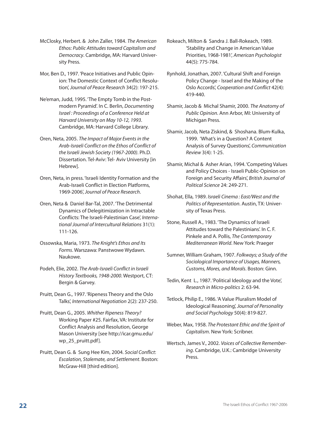- McClosky, Herbert. & John Zaller, 1984. *The American Ethos: Public Attitudestoward Capitalism and Democracy*. Cambridge, MA: Harvard University Press.
- Mor, Ben D., 1997. 'Peace Initiatives and Public Opinion: The Domestic Context of Conflict Resolution', *Journal of Peace Research* 34(2): 197-215.
- Ne'eman, Judd, 1995. 'The Empty Tomb in the Postmodern Pyramid'. In C. Berlin, *Documenting Israel : Proceedings of a Conference Held at Harvard University on May 10-12, 1993*. Cambridge, MA: Harvard College Library.
- Oren, Neta, 2005. *The Impact of Major Eventsin the Arab-Israeli Conflict on the Ethos of Conflict of the Israeli Jewish Society (1967-2000)*. Ph.D. Dissertation. Tel-Aviv: Tel- Aviv University [in Hebrew].
- Oren, Neta, in press. 'Israeli Identity Formation and the Arab-Israeli Conflict in Election Platforms, 1969-2006', *Journal of Peace Research*.
- Oren, Neta & Daniel Bar-Tal, 2007. 'The Detrimental Dynamics of Delegitimization in Intractable Conflicts: The Israeli-Palestinian Case', *InternationalJournal of Intercultural Relations* 31(1): 111-126.
- Ossowska, Maria, 1973. *The Knight's Ethos and Its Forms*. Warszawa: Panstwowe Wydawn. Naukowe.
- Podeh, Elie, 2002. *The Arab-Israeli Conflict in Israeli History Textbooks, 1948-2000*. Westport, CT: Bergin & Garvey.
- Pruitt, Dean G., 1997. 'Ripeness Theory and the Oslo Talks', *International Negotiation* 2(2): 237-250.
- Pruitt, Dean G., 2005. *Whither Ripeness Theory?* Working Paper #25. Fairfax, VA: Institute for Conflict Analysis and Resolution, George Mason University [see http://icar.gmu.edu/ wp\_25\_pruitt.pdf].
- Pruitt, Dean G. & Sung Hee Kim, 2004. *Social Conflict*: *Escalation, Stalemate, and Settlement*. Boston: McGraw-Hill [third edition].
- Rokeach, Milton & Sandra J. Ball-Rokeach, 1989. 'Stability and Change in American Value Priorities, 1968-1981', *American Psychologist* 44(5): 775-784.
- Rynhold, Jonathan, 2007. 'Cultural Shift and Foreign Policy Change - Israel and the Making of the Oslo Accords', *Cooperation and Conflict* 42(4): 419-440.
- Shamir, Jacob & Michal Shamir, 2000. *The Anatomy of Public Opinion*. Ann Arbor, MI: University of Michigan Press.
- Shamir, Jacob, Neta Ziskind, & Shoshana. Blum-Kulka, 1999. 'What's in a Question? A Content Analysis of Survey Questions', *Communication Review* 3(4): 1-25.
- Shamir, Michal & Asher Arian, 1994. 'Competing Values and Policy Choices - Israeli Public-Opinion on Foreign and Security Affairs', *British Journal of Political Science* 24: 249-271.
- Shohat, Ella, 1989. *Israeli Cinema : East/West and the Politics of Representation*. Austin, TX: University of Texas Press.
- Stone, Russell A., 1983. 'The Dynamics of Israeli Attitudes toward the Palestinians'. In C. F. Pinkele and A. Pollis, *The Contemporary Mediterranean World*. New York: Praeger
- Sumner, William Graham, 1907. *Folkways; a Study of the Sociological Importance of Usages, Manners, Customs, Mores, and Morals*. Boston: Ginn.
- Tedin, Kent L., 1987. 'Political Ideology and the Vote', *Research in Micro-politics* 2: 63-94.
- Tetlock, Philip E., 1986. 'A Value Pluralism Model of Ideological Reasoning', *Journal of Personality and Social Psychology* 50(4): 819-827.
- Weber, Max, 1958. *The Protestant Ethic and the Spirit of Capitalism*. New York: Scribner.
- Wertsch, James V., 2002. *Voices of Collective Remembering*. Cambridge, U.K.: Cambridge University Press.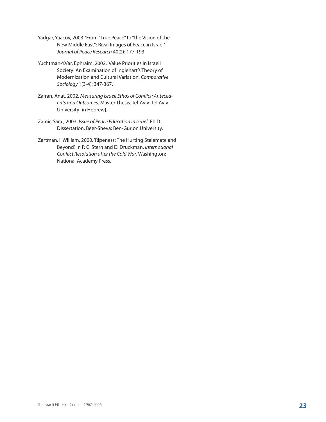- Yadgar, Yaacov, 2003. 'From "True Peace" to "the Vision of the New Middle East": Rival Images of Peace in Israel,' *Journal of Peace Research* 40(2): 177-193.
- Yuchtman-Ya'ar, Ephraim, 2002. 'Value Priorities in Israeli Society: An Examination of Inglehart's Theory of Modernization and Cultural Variation', *Comparative Sociology* 1(3-4): 347-367.
- Zafran, Anat, 2002. *Measuring Israeli Ethos of Conflict: Antecedents and Outcomes*. Master Thesis. Tel-Aviv: Tel Aviv University [in Hebrew].
- Zamir, Sara., 2003. *Issue of Peace Education in Israel*. Ph.D. Dissertation. Beer-Sheva: Ben-Gurion University.
- Zartman, I. William, 2000. 'Ripeness: The Hurting Stalemate and Beyond'. In P. C. Stern and D. Druckman, *International Conflict Resolution after the Cold War*. Washington: National Academy Press.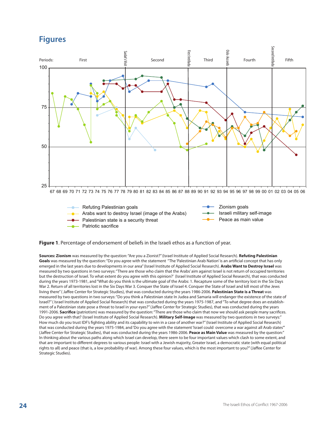## **Figures**



**•** Patriotic sacrifice

#### **Figure 1**. Percentage of endorsement of beliefs in the Israeli ethos as a function of year.

**Sources: Zionism** was measured by the question: "Are you a Zionist?" (Israel Institute of Applied Social Research). **Refuting Palestinian Goals** was measured by the question: "Do you agree with the statement "The 'Palestinian Arab Nation' is an artificial concept that has only emerged in the last years due to developments in our area" (Israel Institute of Applied Social Research). **Arabs Want to Destroy Israel** was measured by two questions in two surveys: "There are those who claim that the Arabs' aim against Israel is not return of occupied territories but the destruction of Israel. To what extent do you agree with this opinion?' (Israel Institute of Applied Social Research), that was conducted during the years 1973-1981, and "What do you think is the ultimate goal of the Arabs: 1. Recapture some of the territory lost in the Six Days War 2. Return of all territories lost in the Six Days War 3. Conquer the State of Israel 4. Conquer the State of Israel and kill most of the Jews living there" ( Jaffee Center for Strategic Studies), that was conducted during the years 1986-2006. **Palestinian State is a Threat** was measured by two questions in two surveys: "Do you think a Palestinian state In Judea and Samaria will endanger the existence of the state of Israel?" ( Israel Institute of Applied Social Research) that was conducted during the years 1975-1987, and "To what degree does an establishment of a Palestinian state pose a threat to Israel in your eyes?" (Jaffee Center for Strategic Studies), that was conducted during the years 1991-2006. **Sacrifice** (patriotism) was measured by the question: "There are those who claim that now we should ask people many sacrifices. Do you agree with that? (Israel Institute of Applied Social Research). **Military Self-Image** was measured by two questions in two surveys:" How much do you trust IDF's fighting ability and its capability to win in a case of another war?" (Israel Institute of Applied Social Research) that was conducted during the years 1975-1984, and 'Do you agree with the statement 'Israel could overcome a war against all Arab states" (Jaffee Center for Strategic Studies), that was conducted during the years 1986-2006. **Peace as Main Value** was measured by the question:" In thinking about the various paths along which Israel can develop, there seem to be four important values which clash to some extent, and that are important to different degrees to various people: Israel with a Jewish majority, Greater Israel, a democratic state (with equal political rights to all) and peace (that is, a low probability of war). Among these four values, which is the most important to you?" (Jaffee Center for Strategic Studies).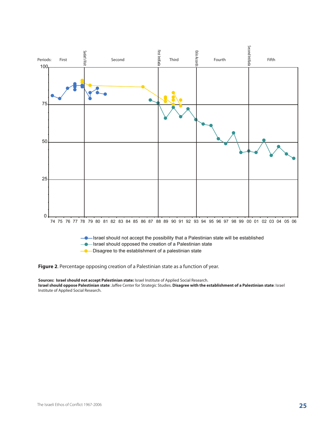

**Figure 2**. Percentage opposing creation of a Palestinian state as a function of year.

**Sources: Israel should not accept Palestinian state:** Israel Institute of Applied Social Research. **Israel should oppose Palestinian state**: Jaffee Center for Strategic Studies. **Disagree with the establishment of a Palestinian state**: Israel Institute of Applied Social Research.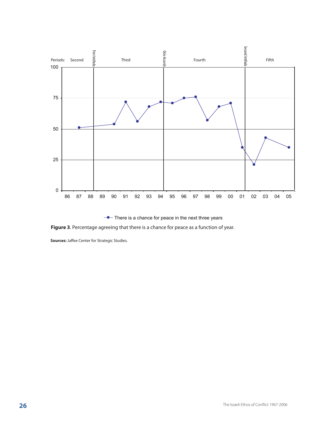

 $\rightarrow$  There is a chance for peace in the next three years

**Figure 3**. Percentage agreeing that there is a chance for peace as a function of year.

**Sources:** Jaffee Center for Strategic Studies.